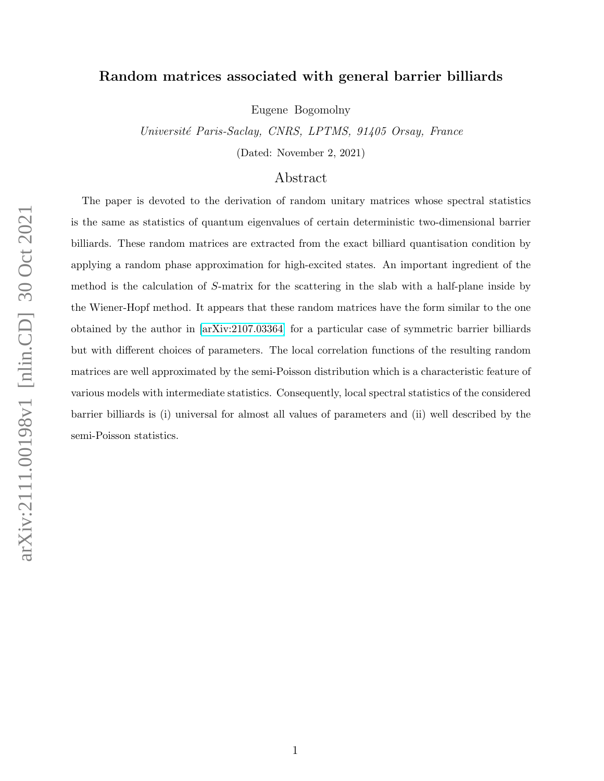# Random matrices associated with general barrier billiards

Eugene Bogomolny

Université Paris-Saclay, CNRS, LPTMS, 91405 Orsay, France

(Dated: November 2, 2021)

# Abstract

The paper is devoted to the derivation of random unitary matrices whose spectral statistics is the same as statistics of quantum eigenvalues of certain deterministic two-dimensional barrier billiards. These random matrices are extracted from the exact billiard quantisation condition by applying a random phase approximation for high-excited states. An important ingredient of the method is the calculation of S-matrix for the scattering in the slab with a half-plane inside by the Wiener-Hopf method. It appears that these random matrices have the form similar to the one obtained by the author in [\[arXiv:2107.03364\]](http://arxiv.org/abs/2107.03364) for a particular case of symmetric barrier billiards but with different choices of parameters. The local correlation functions of the resulting random matrices are well approximated by the semi-Poisson distribution which is a characteristic feature of various models with intermediate statistics. Consequently, local spectral statistics of the considered barrier billiards is (i) universal for almost all values of parameters and (ii) well described by the semi-Poisson statistics.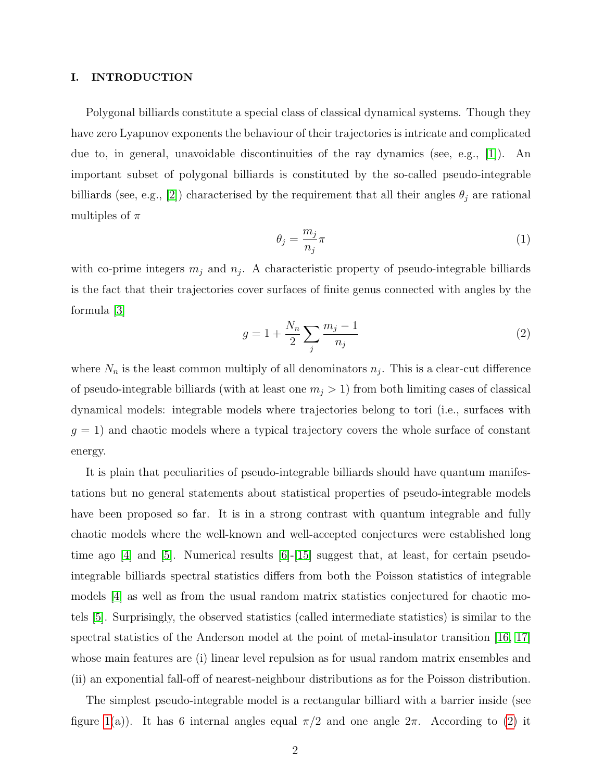#### I. INTRODUCTION

Polygonal billiards constitute a special class of classical dynamical systems. Though they have zero Lyapunov exponents the behaviour of their trajectories is intricate and complicated due to, in general, unavoidable discontinuities of the ray dynamics (see, e.g., [\[1\]](#page-25-0)). An important subset of polygonal billiards is constituted by the so-called pseudo-integrable billiards (see, e.g., [\[2\]](#page-25-1)) characterised by the requirement that all their angles  $\theta_j$  are rational multiples of  $\pi$ 

$$
\theta_j = \frac{m_j}{n_j} \pi \tag{1}
$$

with co-prime integers  $m_j$  and  $n_j$ . A characteristic property of pseudo-integrable billiards is the fact that their trajectories cover surfaces of finite genus connected with angles by the formula [\[3\]](#page-25-2)

<span id="page-1-0"></span>
$$
g = 1 + \frac{N_n}{2} \sum_j \frac{m_j - 1}{n_j}
$$
 (2)

where  $N_n$  is the least common multiply of all denominators  $n_j$ . This is a clear-cut difference of pseudo-integrable billiards (with at least one  $m_j > 1$ ) from both limiting cases of classical dynamical models: integrable models where trajectories belong to tori (i.e., surfaces with  $g = 1$ ) and chaotic models where a typical trajectory covers the whole surface of constant energy.

It is plain that peculiarities of pseudo-integrable billiards should have quantum manifestations but no general statements about statistical properties of pseudo-integrable models have been proposed so far. It is in a strong contrast with quantum integrable and fully chaotic models where the well-known and well-accepted conjectures were established long time ago  $[4]$  and  $[5]$ . Numerical results  $[6]$ - $[15]$  suggest that, at least, for certain pseudointegrable billiards spectral statistics differs from both the Poisson statistics of integrable models [\[4\]](#page-25-3) as well as from the usual random matrix statistics conjectured for chaotic motels [\[5\]](#page-25-4). Surprisingly, the observed statistics (called intermediate statistics) is similar to the spectral statistics of the Anderson model at the point of metal-insulator transition [\[16,](#page-26-2) [17\]](#page-26-3) whose main features are (i) linear level repulsion as for usual random matrix ensembles and (ii) an exponential fall-off of nearest-neighbour distributions as for the Poisson distribution.

The simplest pseudo-integrable model is a rectangular billiard with a barrier inside (see figure [1\(](#page-3-0)a)). It has 6 internal angles equal  $\pi/2$  and one angle  $2\pi$ . According to [\(2\)](#page-1-0) it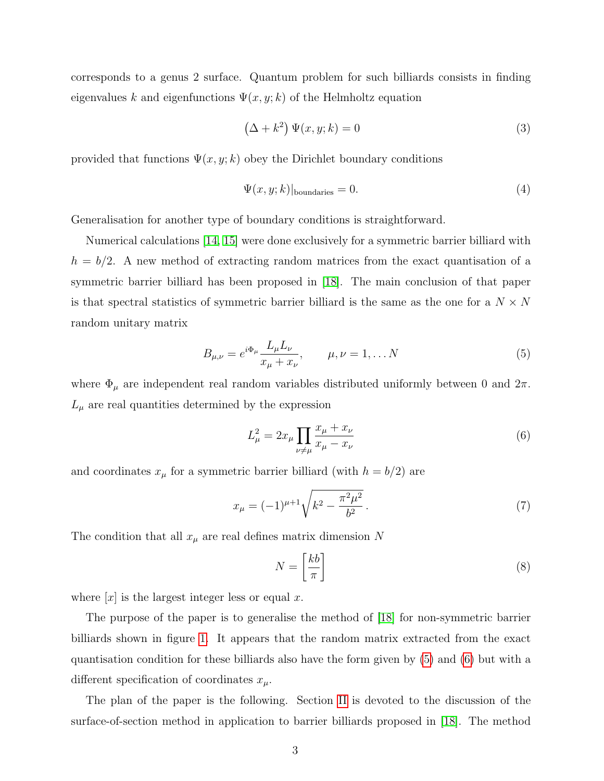corresponds to a genus 2 surface. Quantum problem for such billiards consists in finding eigenvalues k and eigenfunctions  $\Psi(x, y; k)$  of the Helmholtz equation

<span id="page-2-3"></span>
$$
(\Delta + k^2) \Psi(x, y; k) = 0 \tag{3}
$$

provided that functions  $\Psi(x, y; k)$  obey the Dirichlet boundary conditions

<span id="page-2-2"></span>
$$
\Psi(x, y; k)|_{\text{boundaries}} = 0. \tag{4}
$$

Generalisation for another type of boundary conditions is straightforward.

Numerical calculations [\[14,](#page-26-4) [15\]](#page-26-1) were done exclusively for a symmetric barrier billiard with  $h = b/2$ . A new method of extracting random matrices from the exact quantisation of a symmetric barrier billiard has been proposed in [\[18\]](#page-26-5). The main conclusion of that paper is that spectral statistics of symmetric barrier billiard is the same as the one for a  $N \times N$ random unitary matrix

<span id="page-2-0"></span>
$$
B_{\mu,\nu} = e^{i\Phi_{\mu}} \frac{L_{\mu} L_{\nu}}{x_{\mu} + x_{\nu}}, \qquad \mu, \nu = 1, \dots N
$$
 (5)

where  $\Phi_\mu$  are independent real random variables distributed uniformly between 0 and  $2\pi.$  $L_{\mu}$  are real quantities determined by the expression

<span id="page-2-1"></span>
$$
L_{\mu}^{2} = 2x_{\mu} \prod_{\nu \neq \mu} \frac{x_{\mu} + x_{\nu}}{x_{\mu} - x_{\nu}}
$$
(6)

and coordinates  $x_{\mu}$  for a symmetric barrier billiard (with  $h = b/2$ ) are

$$
x_{\mu} = (-1)^{\mu+1} \sqrt{k^2 - \frac{\pi^2 \mu^2}{b^2}}.
$$
\n(7)

The condition that all  $x_{\mu}$  are real defines matrix dimension N

$$
N = \left[\frac{kb}{\pi}\right] \tag{8}
$$

where  $[x]$  is the largest integer less or equal x.

The purpose of the paper is to generalise the method of [\[18\]](#page-26-5) for non-symmetric barrier billiards shown in figure [1.](#page-3-0) It appears that the random matrix extracted from the exact quantisation condition for these billiards also have the form given by [\(5\)](#page-2-0) and [\(6\)](#page-2-1) but with a different specification of coordinates  $x_{\mu}$ .

The plan of the paper is the following. Section [II](#page-4-0) is devoted to the discussion of the surface-of-section method in application to barrier billiards proposed in [\[18\]](#page-26-5). The method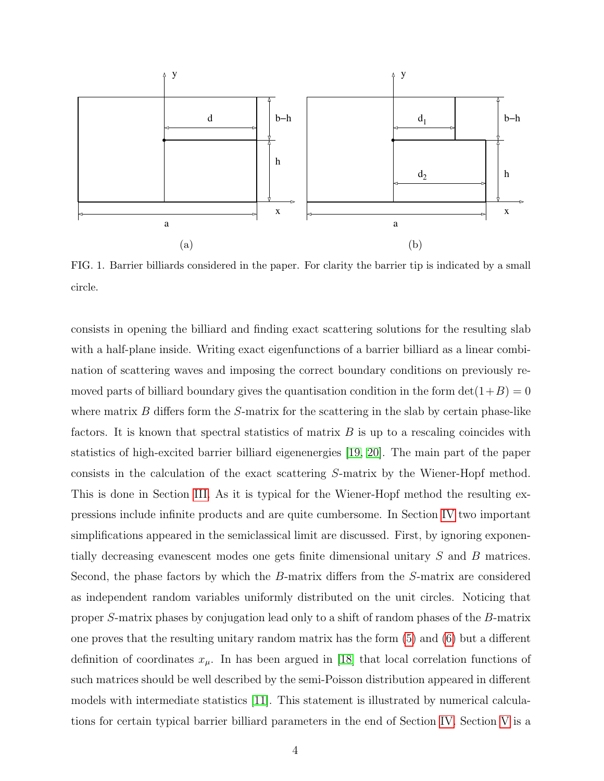

<span id="page-3-0"></span>FIG. 1. Barrier billiards considered in the paper. For clarity the barrier tip is indicated by a small circle.

consists in opening the billiard and finding exact scattering solutions for the resulting slab with a half-plane inside. Writing exact eigenfunctions of a barrier billiard as a linear combination of scattering waves and imposing the correct boundary conditions on previously removed parts of billiard boundary gives the quantisation condition in the form  $\det(1+B) = 0$ where matrix  $B$  differs form the  $S$ -matrix for the scattering in the slab by certain phase-like factors. It is known that spectral statistics of matrix  $B$  is up to a rescaling coincides with statistics of high-excited barrier billiard eigenenergies [\[19,](#page-26-6) [20\]](#page-26-7). The main part of the paper consists in the calculation of the exact scattering S-matrix by the Wiener-Hopf method. This is done in Section [III.](#page-6-0) As it is typical for the Wiener-Hopf method the resulting expressions include infinite products and are quite cumbersome. In Section [IV](#page-14-0) two important simplifications appeared in the semiclassical limit are discussed. First, by ignoring exponentially decreasing evanescent modes one gets finite dimensional unitary S and B matrices. Second, the phase factors by which the B-matrix differs from the S-matrix are considered as independent random variables uniformly distributed on the unit circles. Noticing that proper S-matrix phases by conjugation lead only to a shift of random phases of the B-matrix one proves that the resulting unitary random matrix has the form [\(5\)](#page-2-0) and [\(6\)](#page-2-1) but a different definition of coordinates  $x_{\mu}$ . In has been argued in [\[18\]](#page-26-5) that local correlation functions of such matrices should be well described by the semi-Poisson distribution appeared in different models with intermediate statistics [\[11\]](#page-26-8). This statement is illustrated by numerical calculations for certain typical barrier billiard parameters in the end of Section [IV.](#page-14-0) Section [V](#page-19-0) is a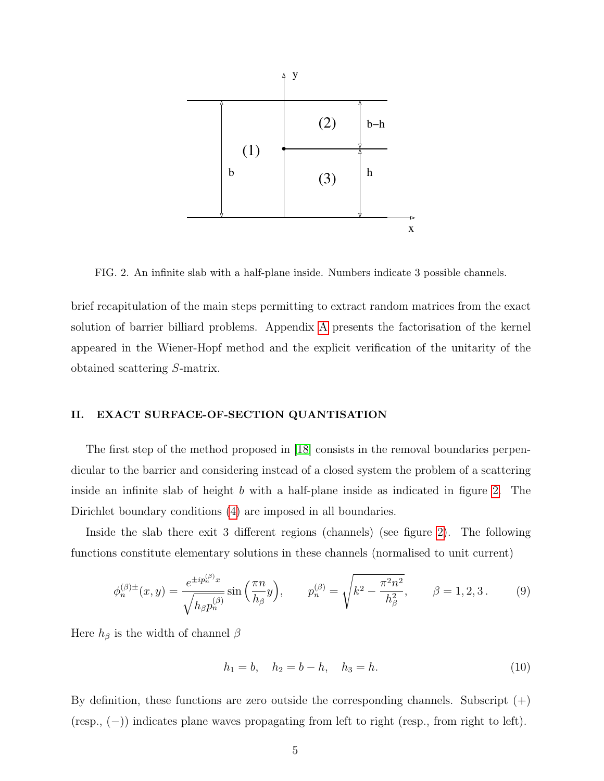

<span id="page-4-1"></span>FIG. 2. An infinite slab with a half-plane inside. Numbers indicate 3 possible channels.

brief recapitulation of the main steps permitting to extract random matrices from the exact solution of barrier billiard problems. Appendix [A](#page-23-0) presents the factorisation of the kernel appeared in the Wiener-Hopf method and the explicit verification of the unitarity of the obtained scattering S-matrix.

## <span id="page-4-0"></span>II. EXACT SURFACE-OF-SECTION QUANTISATION

The first step of the method proposed in [\[18\]](#page-26-5) consists in the removal boundaries perpendicular to the barrier and considering instead of a closed system the problem of a scattering inside an infinite slab of height b with a half-plane inside as indicated in figure [2.](#page-4-1) The Dirichlet boundary conditions [\(4\)](#page-2-2) are imposed in all boundaries.

Inside the slab there exit 3 different regions (channels) (see figure [2\)](#page-4-1). The following functions constitute elementary solutions in these channels (normalised to unit current)

<span id="page-4-2"></span>
$$
\phi_n^{(\beta)\pm}(x,y) = \frac{e^{\pm ip_n^{(\beta)}x}}{\sqrt{h_\beta p_n^{(\beta)}}} \sin\left(\frac{\pi n}{h_\beta}y\right), \qquad p_n^{(\beta)} = \sqrt{k^2 - \frac{\pi^2 n^2}{h_\beta^2}}, \qquad \beta = 1, 2, 3. \tag{9}
$$

Here  $h_{\beta}$  is the width of channel  $\beta$ 

<span id="page-4-3"></span>
$$
h_1 = b, \quad h_2 = b - h, \quad h_3 = h. \tag{10}
$$

By definition, these functions are zero outside the corresponding channels. Subscript  $(+)$ (resp., (−)) indicates plane waves propagating from left to right (resp., from right to left).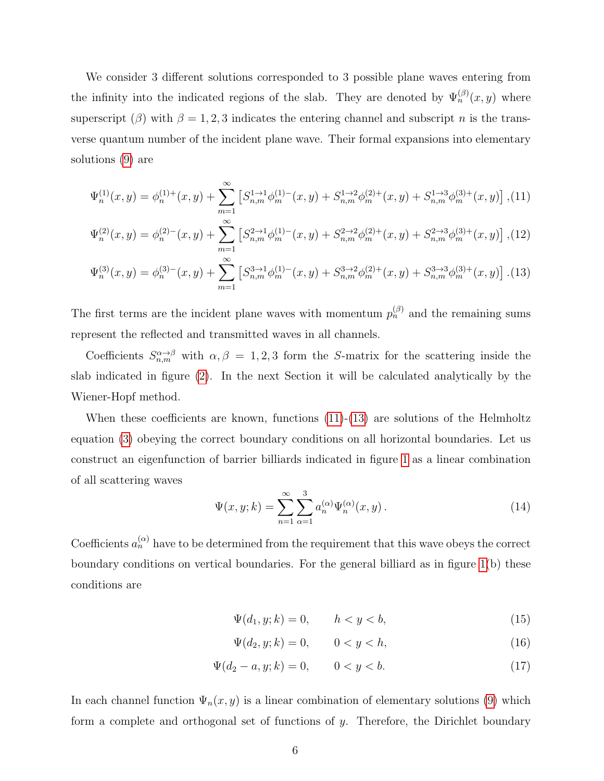We consider 3 different solutions corresponded to 3 possible plane waves entering from the infinity into the indicated regions of the slab. They are denoted by  $\Psi_n^{(\beta)}(x, y)$  where superscript ( $\beta$ ) with  $\beta = 1, 2, 3$  indicates the entering channel and subscript n is the transverse quantum number of the incident plane wave. Their formal expansions into elementary solutions [\(9\)](#page-4-2) are

<span id="page-5-0"></span>
$$
\Psi_n^{(1)}(x,y) = \phi_n^{(1)+}(x,y) + \sum_{m=1}^{\infty} \left[ S_{n,m}^{1 \to 1} \phi_m^{(1)-}(x,y) + S_{n,m}^{1 \to 2} \phi_m^{(2)+}(x,y) + S_{n,m}^{1 \to 3} \phi_m^{(3)+}(x,y) \right],
$$
(11)  

$$
\Psi_n^{(2)}(x,y) = \phi_n^{(2)-}(x,y) + \sum_{m=1}^{\infty} \left[ S_{n,m}^{2 \to 1} \phi_m^{(1)-}(x,y) + S_{n,m}^{2 \to 2} \phi_m^{(2)+}(x,y) + S_{n,m}^{2 \to 3} \phi_m^{(3)+}(x,y) \right],
$$
(12)

$$
\Psi_n^{(3)}(x,y) = \phi_n^{(3)-}(x,y) + \sum_{m=1}^{\infty} \left[ S_{n,m}^{3 \to 1} \phi_m^{(1)-}(x,y) + S_{n,m}^{3 \to 2} \phi_m^{(2)+}(x,y) + S_{n,m}^{3 \to 3} \phi_m^{(3)+}(x,y) \right]. (13)
$$

The first terms are the incident plane waves with momentum  $p_n^{(\beta)}$  and the remaining sums represent the reflected and transmitted waves in all channels.

Coefficients  $S_{n,m}^{\alpha\to\beta}$  with  $\alpha,\beta=1,2,3$  form the S-matrix for the scattering inside the slab indicated in figure [\(2\)](#page-4-1). In the next Section it will be calculated analytically by the Wiener-Hopf method.

When these coefficients are known, functions  $(11)-(13)$  $(11)-(13)$  $(11)-(13)$  are solutions of the Helmholtz equation [\(3\)](#page-2-3) obeying the correct boundary conditions on all horizontal boundaries. Let us construct an eigenfunction of barrier billiards indicated in figure [1](#page-3-0) as a linear combination of all scattering waves

$$
\Psi(x, y; k) = \sum_{n=1}^{\infty} \sum_{\alpha=1}^{3} a_n^{(\alpha)} \Psi_n^{(\alpha)}(x, y).
$$
\n(14)

Coefficients  $a_n^{(\alpha)}$  have to be determined from the requirement that this wave obeys the correct boundary conditions on vertical boundaries. For the general billiard as in figure [1\(](#page-3-0)b) these conditions are

<span id="page-5-1"></span>
$$
\Psi(d_1, y; k) = 0, \qquad h < y < b,\tag{15}
$$

$$
\Psi(d_2, y; k) = 0, \qquad 0 < y < h,\tag{16}
$$

$$
\Psi(d_2 - a, y; k) = 0, \qquad 0 < y < b. \tag{17}
$$

In each channel function  $\Psi_n(x, y)$  is a linear combination of elementary solutions [\(9\)](#page-4-2) which form a complete and orthogonal set of functions of  $y$ . Therefore, the Dirichlet boundary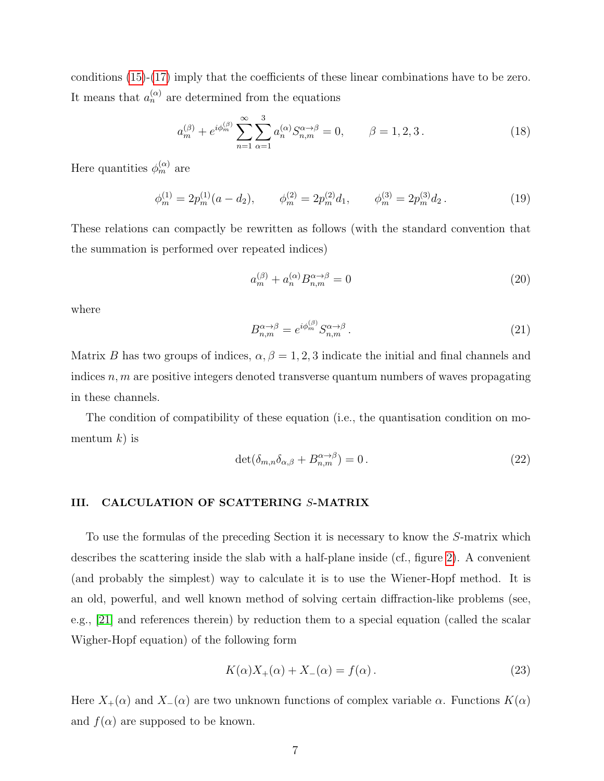conditions [\(15\)](#page-5-1)-[\(17\)](#page-5-1) imply that the coefficients of these linear combinations have to be zero. It means that  $a_n^{(\alpha)}$  are determined from the equations

$$
a_m^{(\beta)} + e^{i\phi_m^{(\beta)}} \sum_{n=1}^{\infty} \sum_{\alpha=1}^3 a_n^{(\alpha)} S_{n,m}^{\alpha \to \beta} = 0, \qquad \beta = 1, 2, 3.
$$
 (18)

Here quantities  $\phi_m^{(\alpha)}$  are

<span id="page-6-3"></span>
$$
\phi_m^{(1)} = 2p_m^{(1)}(a - d_2), \qquad \phi_m^{(2)} = 2p_m^{(2)}d_1, \qquad \phi_m^{(3)} = 2p_m^{(3)}d_2. \tag{19}
$$

These relations can compactly be rewritten as follows (with the standard convention that the summation is performed over repeated indices)

$$
a_m^{(\beta)} + a_n^{(\alpha)} B_{n,m}^{\alpha \to \beta} = 0 \tag{20}
$$

where

<span id="page-6-2"></span>
$$
B_{n,m}^{\alpha \to \beta} = e^{i\phi_m^{(\beta)}} S_{n,m}^{\alpha \to \beta} \,. \tag{21}
$$

Matrix B has two groups of indices,  $\alpha, \beta = 1, 2, 3$  indicate the initial and final channels and indices  $n, m$  are positive integers denoted transverse quantum numbers of waves propagating in these channels.

The condition of compatibility of these equation (i.e., the quantisation condition on momentum  $k$ ) is

<span id="page-6-4"></span>
$$
\det(\delta_{m,n}\delta_{\alpha,\beta} + B_{n,m}^{\alpha \to \beta}) = 0. \tag{22}
$$

## <span id="page-6-0"></span>III. CALCULATION OF SCATTERING S-MATRIX

To use the formulas of the preceding Section it is necessary to know the S-matrix which describes the scattering inside the slab with a half-plane inside (cf., figure [2\)](#page-4-1). A convenient (and probably the simplest) way to calculate it is to use the Wiener-Hopf method. It is an old, powerful, and well known method of solving certain diffraction-like problems (see, e.g., [\[21\]](#page-26-9) and references therein) by reduction them to a special equation (called the scalar Wigher-Hopf equation) of the following form

<span id="page-6-1"></span>
$$
K(\alpha)X_{+}(\alpha) + X_{-}(\alpha) = f(\alpha). \tag{23}
$$

Here  $X_+(\alpha)$  and  $X_-(\alpha)$  are two unknown functions of complex variable  $\alpha$ . Functions  $K(\alpha)$ and  $f(\alpha)$  are supposed to be known.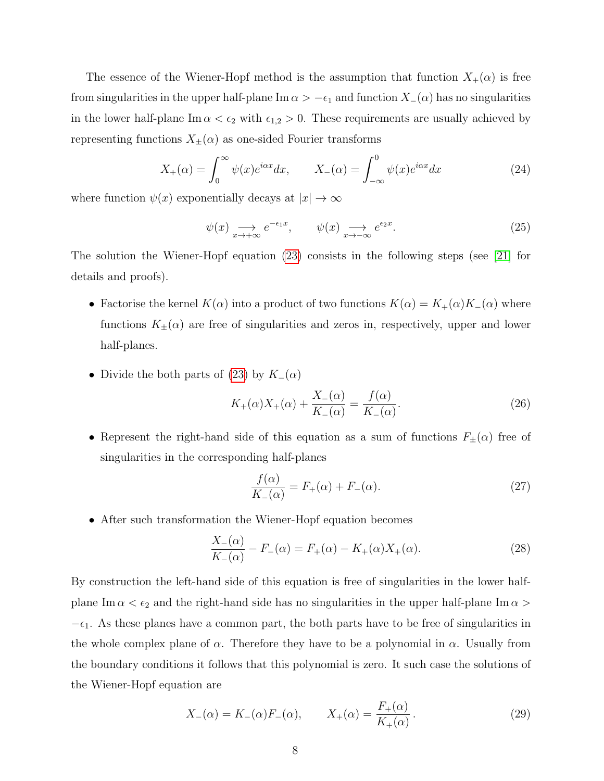The essence of the Wiener-Hopf method is the assumption that function  $X_+(\alpha)$  is free from singularities in the upper half-plane Im  $\alpha > -\epsilon_1$  and function  $X_-(\alpha)$  has no singularities in the lower half-plane Im  $\alpha < \epsilon_2$  with  $\epsilon_{1,2} > 0$ . These requirements are usually achieved by representing functions  $X_{\pm}(\alpha)$  as one-sided Fourier transforms

$$
X_{+}(\alpha) = \int_{0}^{\infty} \psi(x)e^{i\alpha x} dx, \qquad X_{-}(\alpha) = \int_{-\infty}^{0} \psi(x)e^{i\alpha x} dx \tag{24}
$$

where function  $\psi(x)$  exponentially decays at  $|x| \to \infty$ 

$$
\psi(x) \underset{x \to +\infty}{\longrightarrow} e^{-\epsilon_1 x}, \qquad \psi(x) \underset{x \to -\infty}{\longrightarrow} e^{\epsilon_2 x}.
$$
\n(25)

The solution the Wiener-Hopf equation [\(23\)](#page-6-1) consists in the following steps (see [\[21\]](#page-26-9) for details and proofs).

- Factorise the kernel  $K(\alpha)$  into a product of two functions  $K(\alpha) = K_+(\alpha)K_-(\alpha)$  where functions  $K_{\pm}(\alpha)$  are free of singularities and zeros in, respectively, upper and lower half-planes.
- Divide the both parts of [\(23\)](#page-6-1) by  $K_-(\alpha)$

$$
K_{+}(\alpha)X_{+}(\alpha) + \frac{X_{-}(\alpha)}{K_{-}(\alpha)} = \frac{f(\alpha)}{K_{-}(\alpha)}.
$$
\n(26)

• Represent the right-hand side of this equation as a sum of functions  $F_{\pm}(\alpha)$  free of singularities in the corresponding half-planes

<span id="page-7-0"></span>
$$
\frac{f(\alpha)}{K_{-}(\alpha)} = F_{+}(\alpha) + F_{-}(\alpha). \tag{27}
$$

• After such transformation the Wiener-Hopf equation becomes

$$
\frac{X_{-}(\alpha)}{K_{-}(\alpha)} - F_{-}(\alpha) = F_{+}(\alpha) - K_{+}(\alpha)X_{+}(\alpha). \tag{28}
$$

By construction the left-hand side of this equation is free of singularities in the lower halfplane Im  $\alpha < \epsilon_2$  and the right-hand side has no singularities in the upper half-plane Im  $\alpha >$  $-\epsilon_1$ . As these planes have a common part, the both parts have to be free of singularities in the whole complex plane of  $\alpha$ . Therefore they have to be a polynomial in  $\alpha$ . Usually from the boundary conditions it follows that this polynomial is zero. It such case the solutions of the Wiener-Hopf equation are

<span id="page-7-1"></span>
$$
X_{-}(\alpha) = K_{-}(\alpha)F_{-}(\alpha), \qquad X_{+}(\alpha) = \frac{F_{+}(\alpha)}{K_{+}(\alpha)}.
$$
 (29)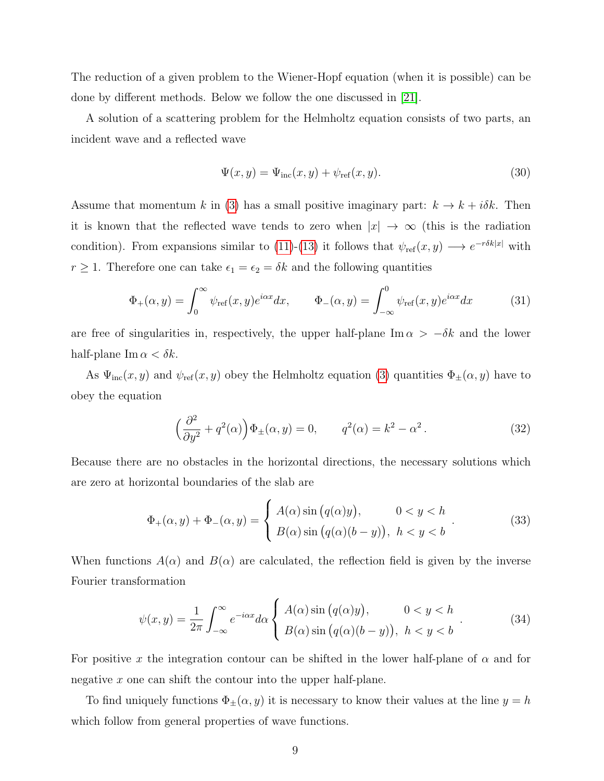The reduction of a given problem to the Wiener-Hopf equation (when it is possible) can be done by different methods. Below we follow the one discussed in [\[21\]](#page-26-9).

A solution of a scattering problem for the Helmholtz equation consists of two parts, an incident wave and a reflected wave

$$
\Psi(x,y) = \Psi_{\text{inc}}(x,y) + \psi_{\text{ref}}(x,y). \tag{30}
$$

Assume that momentum k in [\(3\)](#page-2-3) has a small positive imaginary part:  $k \to k + i\delta k$ . Then it is known that the reflected wave tends to zero when  $|x| \to \infty$  (this is the radiation condition). From expansions similar to [\(11\)](#page-5-0)-[\(13\)](#page-5-0) it follows that  $\psi_{ref}(x,y) \longrightarrow e^{-r\delta k|x|}$  with  $r \geq 1$ . Therefore one can take  $\epsilon_1 = \epsilon_2 = \delta k$  and the following quantities

$$
\Phi_{+}(\alpha, y) = \int_{0}^{\infty} \psi_{\text{ref}}(x, y) e^{i\alpha x} dx, \qquad \Phi_{-}(\alpha, y) = \int_{-\infty}^{0} \psi_{\text{ref}}(x, y) e^{i\alpha x} dx \tag{31}
$$

are free of singularities in, respectively, the upper half-plane Im  $\alpha > -\delta k$  and the lower half-plane Im  $\alpha < \delta k$ .

As  $\Psi_{\text{inc}}(x, y)$  and  $\psi_{\text{ref}}(x, y)$  obey the Helmholtz equation [\(3\)](#page-2-3) quantities  $\Phi_{\pm}(\alpha, y)$  have to obey the equation

$$
\left(\frac{\partial^2}{\partial y^2} + q^2(\alpha)\right)\Phi_{\pm}(\alpha, y) = 0, \qquad q^2(\alpha) = k^2 - \alpha^2. \tag{32}
$$

Because there are no obstacles in the horizontal directions, the necessary solutions which are zero at horizontal boundaries of the slab are

<span id="page-8-0"></span>
$$
\Phi_{+}(\alpha, y) + \Phi_{-}(\alpha, y) = \begin{cases} A(\alpha) \sin (q(\alpha)y), & 0 < y < h \\ B(\alpha) \sin (q(\alpha)(b-y)), & h < y < b \end{cases} \tag{33}
$$

When functions  $A(\alpha)$  and  $B(\alpha)$  are calculated, the reflection field is given by the inverse Fourier transformation

<span id="page-8-1"></span>
$$
\psi(x,y) = \frac{1}{2\pi} \int_{-\infty}^{\infty} e^{-i\alpha x} d\alpha \begin{cases} A(\alpha) \sin (q(\alpha)y), & 0 < y < h \\ B(\alpha) \sin (q(\alpha)(b-y)), & h < y < b \end{cases} . \tag{34}
$$

For positive x the integration contour can be shifted in the lower half-plane of  $\alpha$  and for negative x one can shift the contour into the upper half-plane.

To find uniquely functions  $\Phi_{\pm}(\alpha, y)$  it is necessary to know their values at the line  $y = h$ which follow from general properties of wave functions.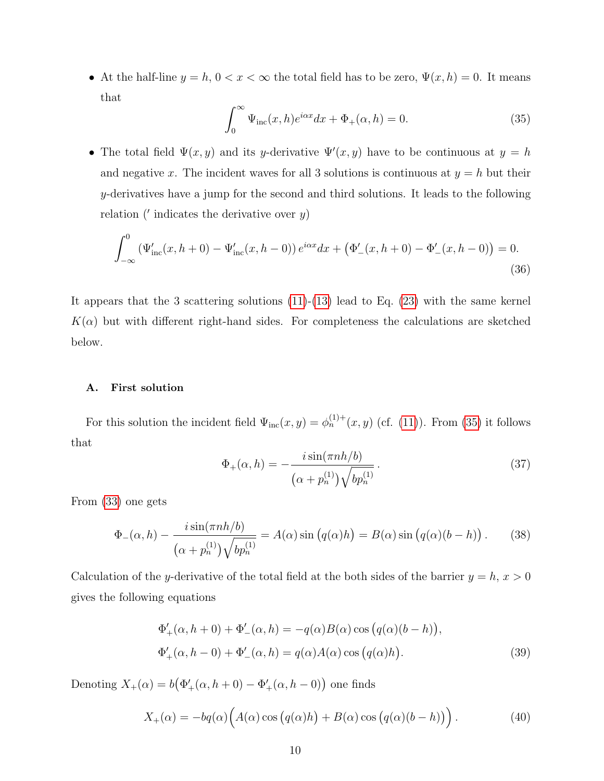• At the half-line  $y = h$ ,  $0 < x < \infty$  the total field has to be zero,  $\Psi(x, h) = 0$ . It means that

<span id="page-9-0"></span>
$$
\int_0^\infty \Psi_{\rm inc}(x,h)e^{i\alpha x}dx + \Phi_+(\alpha, h) = 0.
$$
 (35)

• The total field  $\Psi(x, y)$  and its y-derivative  $\Psi'(x, y)$  have to be continuous at  $y = h$ and negative x. The incident waves for all 3 solutions is continuous at  $y = h$  but their y-derivatives have a jump for the second and third solutions. It leads to the following relation ( $'$  indicates the derivative over  $y$ )

<span id="page-9-2"></span>
$$
\int_{-\infty}^{0} \left( \Psi'_{\text{inc}}(x, h+0) - \Psi'_{\text{inc}}(x, h-0) \right) e^{i\alpha x} dx + \left( \Phi'_{-}(x, h+0) - \Phi'_{-}(x, h-0) \right) = 0.
$$
\n(36)

It appears that the 3 scattering solutions  $(11)-(13)$  $(11)-(13)$  $(11)-(13)$  lead to Eq.  $(23)$  with the same kernel  $K(\alpha)$  but with different right-hand sides. For completeness the calculations are sketched below.

#### A. First solution

For this solution the incident field  $\Psi_{\text{inc}}(x, y) = \phi_n^{(1)+}(x, y)$  (cf. [\(11\)](#page-5-0)). From [\(35\)](#page-9-0) it follows that

$$
\Phi_{+}(\alpha, h) = -\frac{i \sin(\pi n h/b)}{(\alpha + p_n^{(1)}) \sqrt{b p_n^{(1)}}}.
$$
\n(37)

From [\(33\)](#page-8-0) one gets

<span id="page-9-1"></span>
$$
\Phi_{-}(\alpha, h) - \frac{i \sin(\pi n h/b)}{(\alpha + p_n^{(1)}) \sqrt{bp_n^{(1)}}} = A(\alpha) \sin(q(\alpha)h) = B(\alpha) \sin(q(\alpha)(b - h)). \tag{38}
$$

Calculation of the y-derivative of the total field at the both sides of the barrier  $y = h$ ,  $x > 0$ gives the following equations

$$
\Phi'_{+}(\alpha, h+0) + \Phi'_{-}(\alpha, h) = -q(\alpha)B(\alpha)\cos(q(\alpha)(b-h)),
$$
  

$$
\Phi'_{+}(\alpha, h-0) + \Phi'_{-}(\alpha, h) = q(\alpha)A(\alpha)\cos(q(\alpha)h).
$$
 (39)

Denoting  $X_+(\alpha) = b(\Phi'_+(\alpha, h+0) - \Phi'_+(\alpha, h-0))$  one finds

$$
X_{+}(\alpha) = -bq(\alpha)\Big(A(\alpha)\cos\big(q(\alpha)h\big) + B(\alpha)\cos\big(q(\alpha)(b-h)\big)\Big). \tag{40}
$$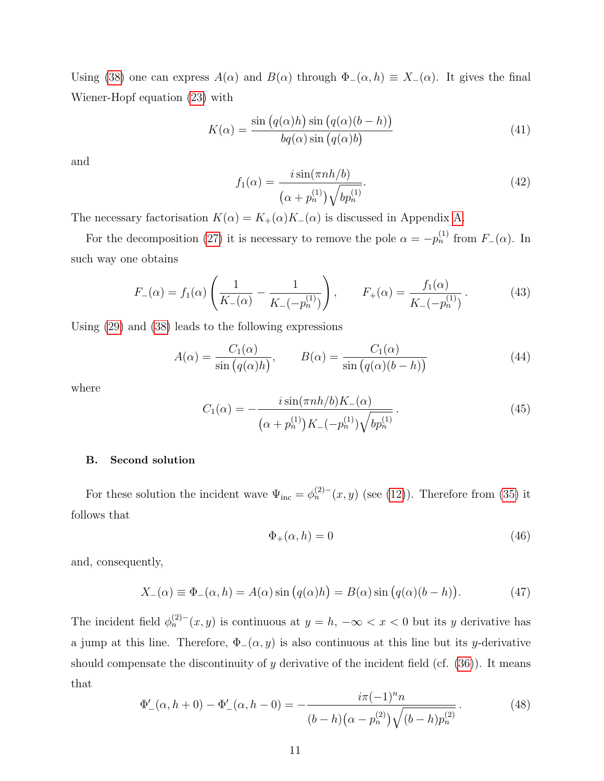Using [\(38\)](#page-9-1) one can express  $A(\alpha)$  and  $B(\alpha)$  through  $\Phi_-(\alpha, h) \equiv X_-(\alpha)$ . It gives the final Wiener-Hopf equation [\(23\)](#page-6-1) with

<span id="page-10-1"></span>
$$
K(\alpha) = \frac{\sin (q(\alpha)h) \sin (q(\alpha)(b - h))}{bq(\alpha) \sin (q(\alpha)b)}
$$
(41)

and

$$
f_1(\alpha) = \frac{i \sin(\pi n h/b)}{(\alpha + p_n^{(1)}) \sqrt{bp_n^{(1)}}}. \tag{42}
$$

The necessary factorisation  $K(\alpha) = K_+(\alpha)K_-(\alpha)$  is discussed in Appendix [A.](#page-23-0)

For the decomposition [\(27\)](#page-7-0) it is necessary to remove the pole  $\alpha = -p_n^{(1)}$  from  $F_-(\alpha)$ . In such way one obtains

$$
F_{-}(\alpha) = f_{1}(\alpha) \left( \frac{1}{K_{-}(\alpha)} - \frac{1}{K_{-}(-p_{n}^{(1)})} \right), \qquad F_{+}(\alpha) = \frac{f_{1}(\alpha)}{K_{-}(-p_{n}^{(1)})}.
$$
 (43)

Using [\(29\)](#page-7-1) and [\(38\)](#page-9-1) leads to the following expressions

$$
A(\alpha) = \frac{C_1(\alpha)}{\sin (q(\alpha)h)}, \qquad B(\alpha) = \frac{C_1(\alpha)}{\sin (q(\alpha)(b-h))}
$$
(44)

where

$$
C_1(\alpha) = -\frac{i \sin(\pi n h/b) K_{-}(\alpha)}{(\alpha + p_n^{(1)}) K_{-}(-p_n^{(1)}) \sqrt{b p_n^{(1)}}}.
$$
\n(45)

## B. Second solution

For these solution the incident wave  $\Psi_{\text{inc}} = \phi_n^{(2)-}(x, y)$  (see [\(12\)](#page-5-0)). Therefore from [\(35\)](#page-9-0) it follows that

<span id="page-10-2"></span>
$$
\Phi_{+}(\alpha, h) = 0 \tag{46}
$$

and, consequently,

<span id="page-10-0"></span>
$$
X_{-}(\alpha) \equiv \Phi_{-}(\alpha, h) = A(\alpha) \sin (q(\alpha)h) = B(\alpha) \sin (q(\alpha)(b - h)). \tag{47}
$$

The incident field  $\phi_n^{(2)-}(x, y)$  is continuous at  $y = h$ ,  $-\infty < x < 0$  but its y derivative has a jump at this line. Therefore,  $\Phi_-(\alpha, y)$  is also continuous at this line but its y-derivative should compensate the discontinuity of y derivative of the incident field (cf.  $(36)$ ). It means that

$$
\Phi'_{-}(\alpha, h+0) - \Phi'_{-}(\alpha, h-0) = -\frac{i\pi (-1)^n n}{(b-h)\left(\alpha - p_n^{(2)}\right)\sqrt{(b-h)p_n^{(2)}}}. \tag{48}
$$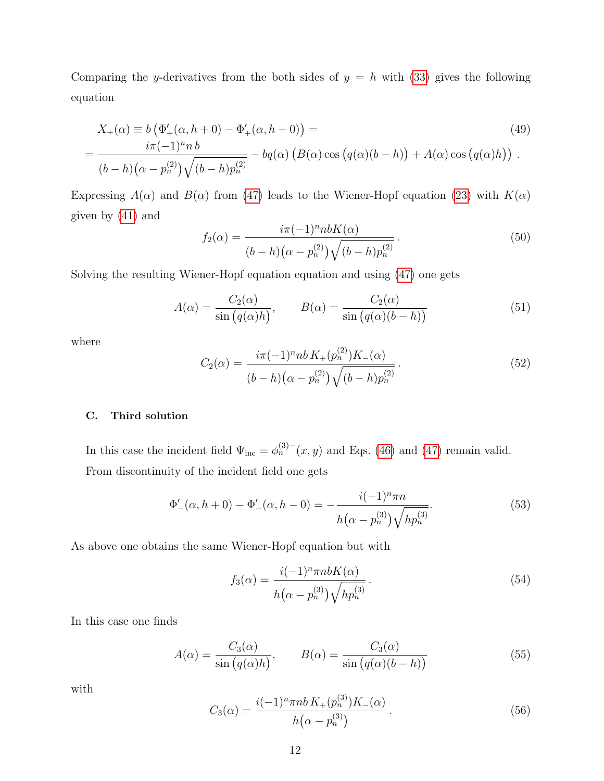Comparing the y-derivatives from the both sides of  $y = h$  with [\(33\)](#page-8-0) gives the following equation

$$
X_{+}(\alpha) \equiv b\left(\Phi'_{+}(\alpha, h+0) - \Phi'_{+}(\alpha, h-0)\right) =
$$
  
= 
$$
\frac{i\pi(-1)^{n}h}{(b-h)(\alpha - p_{n}^{(2)})\sqrt{(b-h)p_{n}^{(2)}}} - bq(\alpha)\left(B(\alpha)\cos\left(q(\alpha)(b-h)\right) + A(\alpha)\cos\left(q(\alpha)h\right)\right).
$$
 (49)

Expressing  $A(\alpha)$  and  $B(\alpha)$  from [\(47\)](#page-10-0) leads to the Wiener-Hopf equation [\(23\)](#page-6-1) with  $K(\alpha)$ given by [\(41\)](#page-10-1) and

$$
f_2(\alpha) = \frac{i\pi (-1)^n nbK(\alpha)}{(b-h)(\alpha - p_n^{(2)})\sqrt{(b-h)p_n^{(2)}}}
$$
\n(50)

Solving the resulting Wiener-Hopf equation equation and using [\(47\)](#page-10-0) one gets

$$
A(\alpha) = \frac{C_2(\alpha)}{\sin (q(\alpha)h)}, \qquad B(\alpha) = \frac{C_2(\alpha)}{\sin (q(\alpha)(b-h))}
$$
(51)

where

$$
C_2(\alpha) = \frac{i\pi (-1)^n n b K_+(p_n^{(2)}) K_-(\alpha)}{(b-h)(\alpha - p_n^{(2)})\sqrt{(b-h)p_n^{(2)}}}.
$$
\n(52)

## C. Third solution

In this case the incident field  $\Psi_{\text{inc}} = \phi_n^{(3)-}(x, y)$  and Eqs. [\(46\)](#page-10-2) and [\(47\)](#page-10-0) remain valid. From discontinuity of the incident field one gets

$$
\Phi'_{-}(\alpha, h+0) - \Phi'_{-}(\alpha, h-0) = -\frac{i(-1)^n \pi n}{h(\alpha - p_n^{(3)}) \sqrt{hp_n^{(3)}}}. \tag{53}
$$

As above one obtains the same Wiener-Hopf equation but with

$$
f_3(\alpha) = \frac{i(-1)^n \pi nbK(\alpha)}{h(\alpha - p_n^{(3)})\sqrt{hp_n^{(3)}}}.
$$
\n(54)

In this case one finds

$$
A(\alpha) = \frac{C_3(\alpha)}{\sin (q(\alpha)h)}, \qquad B(\alpha) = \frac{C_3(\alpha)}{\sin (q(\alpha)(b-h))}
$$
(55)

with

$$
C_3(\alpha) = \frac{i(-1)^n \pi nb K_+(p_n^{(3)}) K_-(\alpha)}{h(\alpha - p_n^{(3)})}.
$$
\n(56)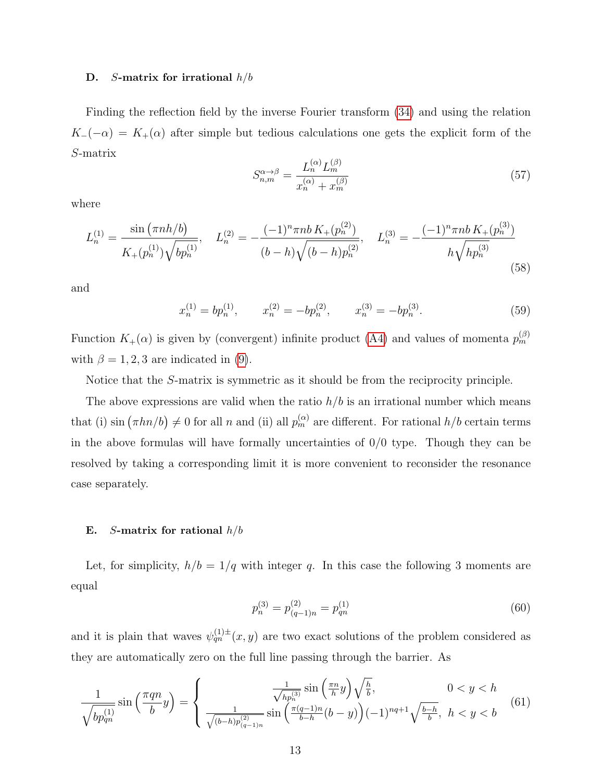#### D. S-matrix for irrational  $h/b$

Finding the reflection field by the inverse Fourier transform [\(34\)](#page-8-1) and using the relation  $K_{-}(-\alpha) = K_{+}(\alpha)$  after simple but tedious calculations one gets the explicit form of the S-matrix

<span id="page-12-0"></span>
$$
S_{n,m}^{\alpha \to \beta} = \frac{L_n^{(\alpha)} L_m^{(\beta)}}{x_n^{(\alpha)} + x_m^{(\beta)}}
$$
(57)

where

<span id="page-12-1"></span>
$$
L_n^{(1)} = \frac{\sin(\pi nh/b)}{K_+(p_n^{(1)})\sqrt{bp_n^{(1)}}}, \quad L_n^{(2)} = -\frac{(-1)^n \pi nb K_+(p_n^{(2)})}{(b-h)\sqrt{(b-h)p_n^{(2)}}}, \quad L_n^{(3)} = -\frac{(-1)^n \pi nb K_+(p_n^{(3)})}{h\sqrt{hp_n^{(3)}}}
$$
(58)

and

$$
x_n^{(1)} = bp_n^{(1)}, \qquad x_n^{(2)} = -bp_n^{(2)}, \qquad x_n^{(3)} = -bp_n^{(3)}.
$$
 (59)

Function  $K_{+}(\alpha)$  is given by (convergent) infinite product [\(A4\)](#page-23-1) and values of momenta  $p_{m}^{(\beta)}$ with  $\beta = 1, 2, 3$  are indicated in [\(9\)](#page-4-2).

Notice that the S-matrix is symmetric as it should be from the reciprocity principle.

The above expressions are valid when the ratio  $h/b$  is an irrational number which means that (i)  $\sin(\pi h n/b) \neq 0$  for all n and (ii) all  $p_m^{(\alpha)}$  are different. For rational  $h/b$  certain terms in the above formulas will have formally uncertainties of  $0/0$  type. Though they can be resolved by taking a corresponding limit it is more convenient to reconsider the resonance case separately.

### <span id="page-12-2"></span>E. S-matrix for rational  $h/b$

Let, for simplicity,  $h/b = 1/q$  with integer q. In this case the following 3 moments are equal

$$
p_n^{(3)} = p_{(q-1)n}^{(2)} = p_{qn}^{(1)} \tag{60}
$$

and it is plain that waves  $\psi_{qn}^{(1)\pm}(x,y)$  are two exact solutions of the problem considered as they are automatically zero on the full line passing through the barrier. As

$$
\frac{1}{\sqrt{bp_{qn}^{(1)}}} \sin\left(\frac{\pi q n}{b}y\right) = \begin{cases} \frac{\frac{1}{\sqrt{hp_n^{(3)}}} \sin\left(\frac{\pi n}{h}y\right) \sqrt{\frac{h}{b}}, & 0 < y < h\\ \frac{1}{\sqrt{(b-h)p_{(q-1)n}^{(2)}}} \sin\left(\frac{\pi (q-1)n}{b-h}(b-y)\right) (-1)^{nq+1} \sqrt{\frac{b-h}{b}}, & h < y < b \end{cases} (61)
$$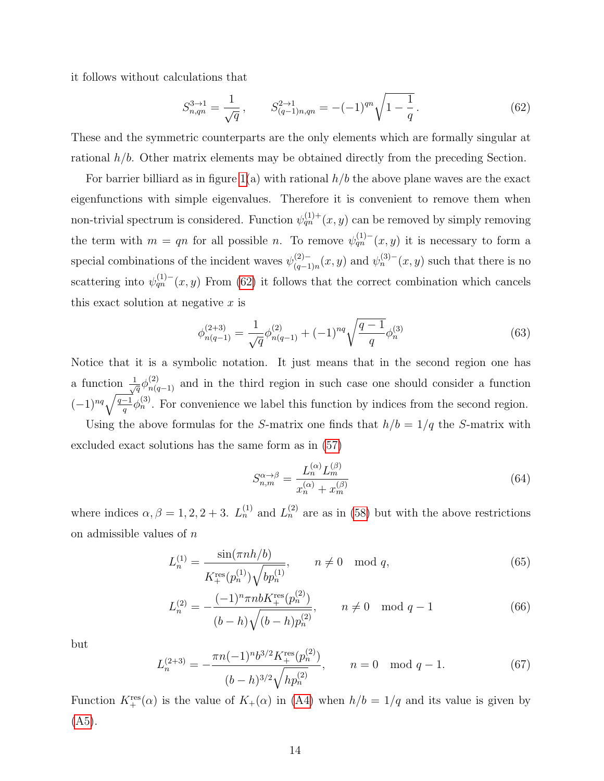it follows without calculations that

<span id="page-13-0"></span>
$$
S_{n,qn}^{3\to 1} = \frac{1}{\sqrt{q}}, \qquad S_{(q-1)n,qn}^{2\to 1} = -(-1)^{qn} \sqrt{1 - \frac{1}{q}}.
$$
 (62)

These and the symmetric counterparts are the only elements which are formally singular at rational  $h/b$ . Other matrix elements may be obtained directly from the preceding Section.

For barrier billiard as in figure  $1(a)$  with rational  $h/b$  the above plane waves are the exact eigenfunctions with simple eigenvalues. Therefore it is convenient to remove them when non-trivial spectrum is considered. Function  $\psi_{qn}^{(1)+}(x,y)$  can be removed by simply removing the term with  $m = qn$  for all possible n. To remove  $\psi_{qn}^{(1)-}(x, y)$  it is necessary to form a special combinations of the incident waves  $\psi_{(a-1)}^{(2)-}$  $\binom{(2)-}{(q-1)n}(x, y)$  and  $\psi_n^{(3)-}(x, y)$  such that there is no scattering into  $\psi_{qn}^{(1)-}(x,y)$  From [\(62\)](#page-13-0) it follows that the correct combination which cancels this exact solution at negative  $x$  is

$$
\phi_{n(q-1)}^{(2+3)} = \frac{1}{\sqrt{q}} \phi_{n(q-1)}^{(2)} + (-1)^{nq} \sqrt{\frac{q-1}{q}} \phi_n^{(3)} \tag{63}
$$

Notice that it is a symbolic notation. It just means that in the second region one has a function  $\frac{1}{\sqrt{q}}\phi_{n(q-1)}^{(2)}$  and in the third region in such case one should consider a function  $(-1)^{nq}\sqrt{\frac{q-1}{q}}\phi_n^{(3)}$ . For convenience we label this function by indices from the second region.

Using the above formulas for the S-matrix one finds that  $h/b = 1/q$  the S-matrix with excluded exact solutions has the same form as in [\(57\)](#page-12-0)

$$
S_{n,m}^{\alpha \to \beta} = \frac{L_n^{(\alpha)} L_m^{(\beta)}}{x_n^{(\alpha)} + x_m^{(\beta)}}
$$
(64)

where indices  $\alpha, \beta = 1, 2, 2 + 3$ .  $L_n^{(1)}$  and  $L_n^{(2)}$  are as in [\(58\)](#page-12-1) but with the above restrictions on admissible values of  $n$ 

$$
L_n^{(1)} = \frac{\sin(\pi n h/b)}{K_+^{\text{res}}(p_n^{(1)})\sqrt{bp_n^{(1)}}}, \qquad n \neq 0 \mod q,
$$
\n(65)

$$
L_n^{(2)} = -\frac{(-1)^n \pi n b K_+^{\text{res}}(p_n^{(2)})}{(b-h)\sqrt{(b-h)p_n^{(2)}}}, \qquad n \neq 0 \mod q - 1
$$
 (66)

but

<span id="page-13-1"></span>
$$
L_n^{(2+3)} = -\frac{\pi n (-1)^n b^{3/2} K_+^{\text{res}}(p_n^{(2)})}{(b-h)^{3/2} \sqrt{hp_n^{(2)}}}, \qquad n = 0 \mod q - 1.
$$
 (67)

Function  $K^{\text{res}}_+(\alpha)$  is the value of  $K_+(\alpha)$  in [\(A4\)](#page-23-1) when  $h/b = 1/q$  and its value is given by  $(A5).$  $(A5).$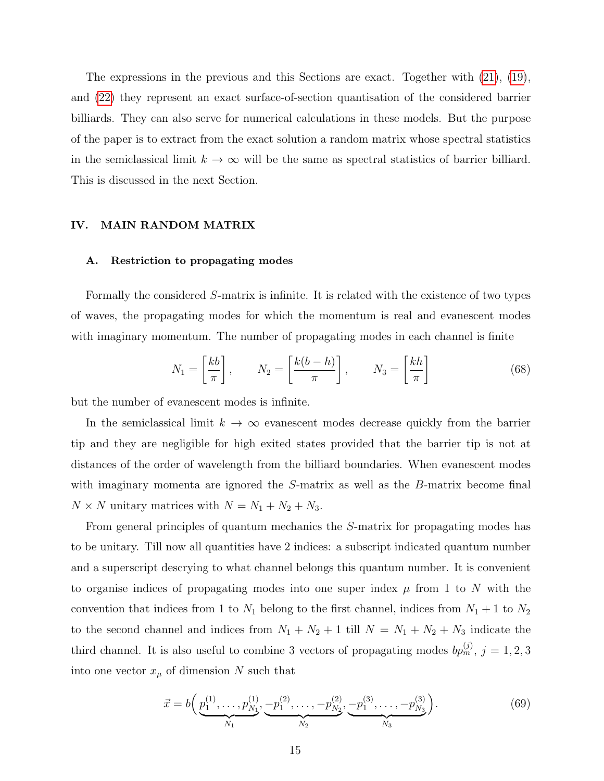The expressions in the previous and this Sections are exact. Together with [\(21\)](#page-6-2), [\(19\)](#page-6-3), and [\(22\)](#page-6-4) they represent an exact surface-of-section quantisation of the considered barrier billiards. They can also serve for numerical calculations in these models. But the purpose of the paper is to extract from the exact solution a random matrix whose spectral statistics in the semiclassical limit  $k \to \infty$  will be the same as spectral statistics of barrier billiard. This is discussed in the next Section.

## <span id="page-14-0"></span>IV. MAIN RANDOM MATRIX

## A. Restriction to propagating modes

Formally the considered S-matrix is infinite. It is related with the existence of two types of waves, the propagating modes for which the momentum is real and evanescent modes with imaginary momentum. The number of propagating modes in each channel is finite

<span id="page-14-2"></span>
$$
N_1 = \left[\frac{kb}{\pi}\right], \qquad N_2 = \left[\frac{k(b-h)}{\pi}\right], \qquad N_3 = \left[\frac{kh}{\pi}\right]
$$
(68)

but the number of evanescent modes is infinite.

In the semiclassical limit  $k \to \infty$  evanescent modes decrease quickly from the barrier tip and they are negligible for high exited states provided that the barrier tip is not at distances of the order of wavelength from the billiard boundaries. When evanescent modes with imaginary momenta are ignored the S-matrix as well as the B-matrix become final  $N \times N$  unitary matrices with  $N = N_1 + N_2 + N_3$ .

From general principles of quantum mechanics the S-matrix for propagating modes has to be unitary. Till now all quantities have 2 indices: a subscript indicated quantum number and a superscript descrying to what channel belongs this quantum number. It is convenient to organise indices of propagating modes into one super index  $\mu$  from 1 to N with the convention that indices from 1 to  $N_1$  belong to the first channel, indices from  $N_1 + 1$  to  $N_2$ to the second channel and indices from  $N_1 + N_2 + 1$  till  $N = N_1 + N_2 + N_3$  indicate the third channel. It is also useful to combine 3 vectors of propagating modes  $bp_m^{(j)}$ ,  $j = 1, 2, 3$ into one vector  $x_{\mu}$  of dimension N such that

<span id="page-14-1"></span>
$$
\vec{x} = b\left(\underbrace{p_1^{(1)}, \dots, p_{N_1}^{(1)}}_{N_1}, \underbrace{-p_1^{(2)}, \dots, -p_{N_2}^{(2)}}_{N_2}, \underbrace{-p_1^{(3)}, \dots, -p_{N_3}^{(3)}}_{N_3}\right). \tag{69}
$$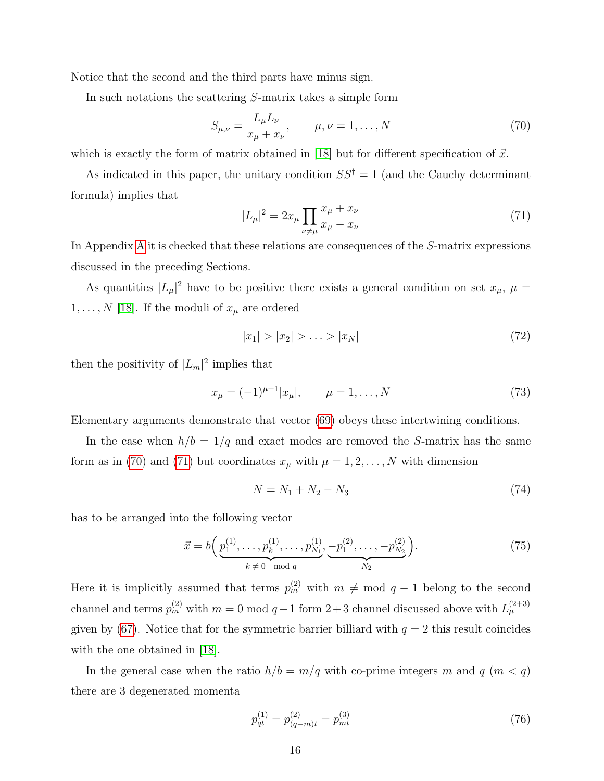Notice that the second and the third parts have minus sign.

In such notations the scattering S-matrix takes a simple form

<span id="page-15-0"></span>
$$
S_{\mu,\nu} = \frac{L_{\mu}L_{\nu}}{x_{\mu} + x_{\nu}}, \qquad \mu, \nu = 1, ..., N
$$
 (70)

which is exactly the form of matrix obtained in [\[18\]](#page-26-5) but for different specification of  $\vec{x}$ .

As indicated in this paper, the unitary condition  $SS^{\dagger} = 1$  (and the Cauchy determinant formula) implies that

<span id="page-15-1"></span>
$$
|L_{\mu}|^{2} = 2x_{\mu} \prod_{\nu \neq \mu} \frac{x_{\mu} + x_{\nu}}{x_{\mu} - x_{\nu}}
$$
(71)

In Appendix [A](#page-23-0) it is checked that these relations are consequences of the S-matrix expressions discussed in the preceding Sections.

As quantities  $|L_{\mu}|^2$  have to be positive there exists a general condition on set  $x_{\mu}$ ,  $\mu =$  $1, \ldots, N$  [\[18\]](#page-26-5). If the moduli of  $x_{\mu}$  are ordered

<span id="page-15-2"></span>
$$
|x_1| > |x_2| > \ldots > |x_N|
$$
\n(72)

then the positivity of  $|L_m|^2$  implies that

<span id="page-15-3"></span>
$$
x_{\mu} = (-1)^{\mu+1} |x_{\mu}|, \qquad \mu = 1, \dots, N \tag{73}
$$

Elementary arguments demonstrate that vector [\(69\)](#page-14-1) obeys these intertwining conditions.

In the case when  $h/b = 1/q$  and exact modes are removed the S-matrix has the same form as in [\(70\)](#page-15-0) and [\(71\)](#page-15-1) but coordinates  $x_{\mu}$  with  $\mu = 1, 2, ..., N$  with dimension

<span id="page-15-5"></span>
$$
N = N_1 + N_2 - N_3 \tag{74}
$$

has to be arranged into the following vector

<span id="page-15-4"></span>
$$
\vec{x} = b\left(\underbrace{p_1^{(1)}, \dots, p_k^{(1)}, \dots, p_{N_1}^{(1)}}_{k \neq 0 \mod q}, \underbrace{-p_1^{(2)}, \dots, -p_{N_2}^{(2)}}_{N_2}\right).
$$
\n(75)

Here it is implicitly assumed that terms  $p_m^{(2)}$  with  $m \neq \text{mod } q-1$  belong to the second channel and terms  $p_m^{(2)}$  with  $m = 0 \mod q - 1$  form  $2+3$  channel discussed above with  $L_{\mu}^{(2+3)}$ given by [\(67\)](#page-13-1). Notice that for the symmetric barrier billiard with  $q = 2$  this result coincides with the one obtained in [\[18\]](#page-26-5).

In the general case when the ratio  $h/b = m/q$  with co-prime integers m and q  $(m < q)$ there are 3 degenerated momenta

$$
p_{qt}^{(1)} = p_{(q-m)t}^{(2)} = p_{mt}^{(3)}
$$
\n(76)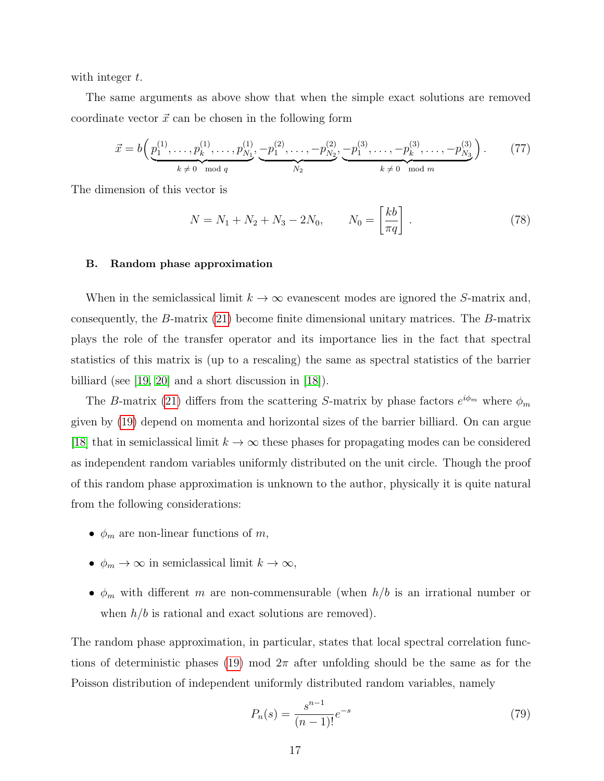with integer  $t$ .

The same arguments as above show that when the simple exact solutions are removed coordinate vector  $\vec{x}$  can be chosen in the following form

<span id="page-16-1"></span>
$$
\vec{x} = b\left(\underbrace{p_1^{(1)}, \dots, p_k^{(1)}, \dots, p_{N_1}^{(1)}}_{k \neq 0 \mod q}, \underbrace{-p_1^{(2)}, \dots, -p_{N_2}^{(2)}}_{N_2}, \underbrace{-p_1^{(3)}, \dots, -p_k^{(3)}, \dots, -p_{N_3}^{(3)}}_{k \neq 0 \mod m}\right). \tag{77}
$$

The dimension of this vector is

<span id="page-16-2"></span>
$$
N = N_1 + N_2 + N_3 - 2N_0, \qquad N_0 = \left[\frac{kb}{\pi q}\right].
$$
 (78)

#### B. Random phase approximation

When in the semiclassical limit  $k \to \infty$  evanescent modes are ignored the S-matrix and, consequently, the B-matrix [\(21\)](#page-6-2) become finite dimensional unitary matrices. The B-matrix plays the role of the transfer operator and its importance lies in the fact that spectral statistics of this matrix is (up to a rescaling) the same as spectral statistics of the barrier billiard (see [\[19,](#page-26-6) [20\]](#page-26-7) and a short discussion in [\[18\]](#page-26-5)).

The B-matrix [\(21\)](#page-6-2) differs from the scattering S-matrix by phase factors  $e^{i\phi_m}$  where  $\phi_m$ given by [\(19\)](#page-6-3) depend on momenta and horizontal sizes of the barrier billiard. On can argue [\[18\]](#page-26-5) that in semiclassical limit  $k \to \infty$  these phases for propagating modes can be considered as independent random variables uniformly distributed on the unit circle. Though the proof of this random phase approximation is unknown to the author, physically it is quite natural from the following considerations:

- $\phi_m$  are non-linear functions of m,
- $\phi_m \to \infty$  in semiclassical limit  $k \to \infty$ ,
- $\phi_m$  with different m are non-commensurable (when  $h/b$  is an irrational number or when  $h/b$  is rational and exact solutions are removed).

The random phase approximation, in particular, states that local spectral correlation func-tions of deterministic phases [\(19\)](#page-6-3) mod  $2\pi$  after unfolding should be the same as for the Poisson distribution of independent uniformly distributed random variables, namely

<span id="page-16-0"></span>
$$
P_n(s) = \frac{s^{n-1}}{(n-1)!}e^{-s}
$$
\n(79)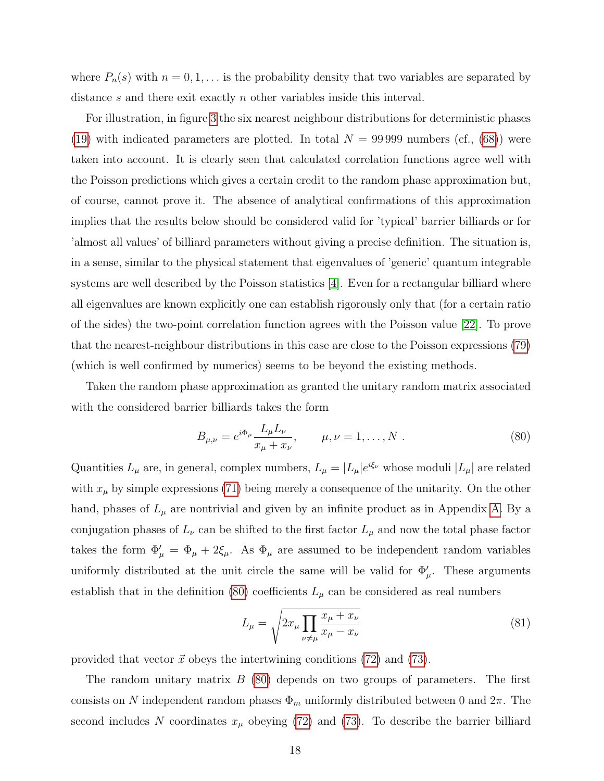where  $P_n(s)$  with  $n = 0, 1, \ldots$  is the probability density that two variables are separated by distance s and there exit exactly n other variables inside this interval.

For illustration, in figure [3](#page-18-0) the six nearest neighbour distributions for deterministic phases [\(19\)](#page-6-3) with indicated parameters are plotted. In total  $N = 99999$  numbers (cf., [\(68\)](#page-14-2)) were taken into account. It is clearly seen that calculated correlation functions agree well with the Poisson predictions which gives a certain credit to the random phase approximation but, of course, cannot prove it. The absence of analytical confirmations of this approximation implies that the results below should be considered valid for 'typical' barrier billiards or for 'almost all values' of billiard parameters without giving a precise definition. The situation is, in a sense, similar to the physical statement that eigenvalues of 'generic' quantum integrable systems are well described by the Poisson statistics [\[4\]](#page-25-3). Even for a rectangular billiard where all eigenvalues are known explicitly one can establish rigorously only that (for a certain ratio of the sides) the two-point correlation function agrees with the Poisson value [\[22\]](#page-26-10). To prove that the nearest-neighbour distributions in this case are close to the Poisson expressions [\(79\)](#page-16-0) (which is well confirmed by numerics) seems to be beyond the existing methods.

Taken the random phase approximation as granted the unitary random matrix associated with the considered barrier billiards takes the form

<span id="page-17-0"></span>
$$
B_{\mu,\nu} = e^{i\Phi_{\mu}} \frac{L_{\mu} L_{\nu}}{x_{\mu} + x_{\nu}}, \qquad \mu, \nu = 1, ..., N .
$$
 (80)

Quantities  $L_{\mu}$  are, in general, complex numbers,  $L_{\mu} = |L_{\mu}|e^{i\xi_{\nu}}$  whose moduli  $|L_{\mu}|$  are related with  $x_{\mu}$  by simple expressions [\(71\)](#page-15-1) being merely a consequence of the unitarity. On the other hand, phases of  $L_{\mu}$  are nontrivial and given by an infinite product as in Appendix [A.](#page-23-0) By a conjugation phases of  $L_{\nu}$  can be shifted to the first factor  $L_{\mu}$  and now the total phase factor takes the form  $\Phi_{\mu}' = \Phi_{\mu} + 2\xi_{\mu}$ . As  $\Phi_{\mu}$  are assumed to be independent random variables uniformly distributed at the unit circle the same will be valid for  $\Phi'_{\mu}$ . These arguments establish that in the definition [\(80\)](#page-17-0) coefficients  $L_{\mu}$  can be considered as real numbers

$$
L_{\mu} = \sqrt{2x_{\mu} \prod_{\nu \neq \mu} \frac{x_{\mu} + x_{\nu}}{x_{\mu} - x_{\nu}}}
$$
(81)

provided that vector  $\vec{x}$  obeys the intertwining conditions [\(72\)](#page-15-2) and [\(73\)](#page-15-3).

The random unitary matrix  $B(80)$  $B(80)$  depends on two groups of parameters. The first consists on N independent random phases  $\Phi_m$  uniformly distributed between 0 and  $2\pi$ . The second includes N coordinates  $x_{\mu}$  obeying [\(72\)](#page-15-2) and [\(73\)](#page-15-3). To describe the barrier billiard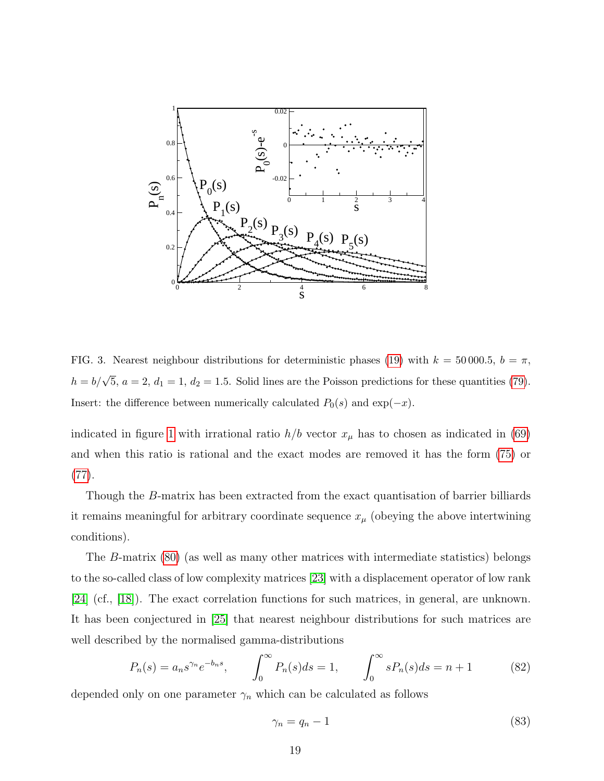

<span id="page-18-0"></span>FIG. 3. Nearest neighbour distributions for deterministic phases [\(19\)](#page-6-3) with  $k = 50000.5$ ,  $b = \pi$ ,  $h = b/\sqrt{5}$ ,  $a = 2$ ,  $d_1 = 1$ ,  $d_2 = 1.5$ . Solid lines are the Poisson predictions for these quantities [\(79\)](#page-16-0). Insert: the difference between numerically calculated  $P_0(s)$  and  $\exp(-x)$ .

indicated in figure [1](#page-3-0) with irrational ratio  $h/b$  vector  $x_{\mu}$  has to chosen as indicated in [\(69\)](#page-14-1) and when this ratio is rational and the exact modes are removed it has the form [\(75\)](#page-15-4) or [\(77\)](#page-16-1).

Though the B-matrix has been extracted from the exact quantisation of barrier billiards it remains meaningful for arbitrary coordinate sequence  $x_{\mu}$  (obeying the above intertwining conditions).

The B-matrix [\(80\)](#page-17-0) (as well as many other matrices with intermediate statistics) belongs to the so-called class of low complexity matrices [\[23\]](#page-27-0) with a displacement operator of low rank [\[24\]](#page-27-1) (cf., [\[18\]](#page-26-5)). The exact correlation functions for such matrices, in general, are unknown. It has been conjectured in [\[25\]](#page-27-2) that nearest neighbour distributions for such matrices are well described by the normalised gamma-distributions

$$
P_n(s) = a_n s^{\gamma_n} e^{-b_n s}, \qquad \int_0^\infty P_n(s) ds = 1, \qquad \int_0^\infty s P_n(s) ds = n + 1 \tag{82}
$$

depended only on one parameter  $\gamma_n$  which can be calculated as follows

$$
\gamma_n = q_n - 1 \tag{83}
$$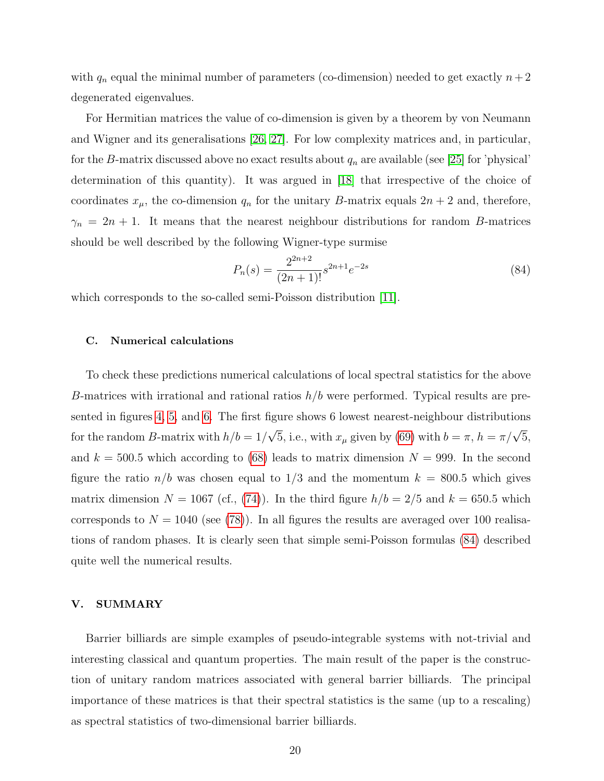with  $q_n$  equal the minimal number of parameters (co-dimension) needed to get exactly  $n+2$ degenerated eigenvalues.

For Hermitian matrices the value of co-dimension is given by a theorem by von Neumann and Wigner and its generalisations [\[26,](#page-27-3) [27\]](#page-27-4). For low complexity matrices and, in particular, for the B-matrix discussed above no exact results about  $q_n$  are available (see [\[25\]](#page-27-2) for 'physical' determination of this quantity). It was argued in [\[18\]](#page-26-5) that irrespective of the choice of coordinates  $x_{\mu}$ , the co-dimension  $q_n$  for the unitary B-matrix equals  $2n + 2$  and, therefore,  $\gamma_n = 2n + 1$ . It means that the nearest neighbour distributions for random B-matrices should be well described by the following Wigner-type surmise

<span id="page-19-1"></span>
$$
P_n(s) = \frac{2^{2n+2}}{(2n+1)!} s^{2n+1} e^{-2s}
$$
\n(84)

which corresponds to the so-called semi-Poisson distribution [\[11\]](#page-26-8).

## C. Numerical calculations

To check these predictions numerical calculations of local spectral statistics for the above B-matrices with irrational and rational ratios  $h/b$  were performed. Typical results are presented in figures [4,](#page-20-0) [5,](#page-21-0) and [6.](#page-21-1) The first figure shows 6 lowest nearest-neighbour distributions for the random B-matrix with  $h/b = 1/$  $\sqrt{5}$ , i.e., with  $x_{\mu}$  given by [\(69\)](#page-14-1) with  $b = \pi$ ,  $h = \pi/\sqrt{5}$ , and  $k = 500.5$  which according to [\(68\)](#page-14-2) leads to matrix dimension  $N = 999$ . In the second figure the ratio  $n/b$  was chosen equal to  $1/3$  and the momentum  $k = 800.5$  which gives matrix dimension  $N = 1067$  (cf., [\(74\)](#page-15-5)). In the third figure  $h/b = 2/5$  and  $k = 650.5$  which corresponds to  $N = 1040$  (see [\(78\)](#page-16-2)). In all figures the results are averaged over 100 realisations of random phases. It is clearly seen that simple semi-Poisson formulas [\(84\)](#page-19-1) described quite well the numerical results.

### <span id="page-19-0"></span>V. SUMMARY

Barrier billiards are simple examples of pseudo-integrable systems with not-trivial and interesting classical and quantum properties. The main result of the paper is the construction of unitary random matrices associated with general barrier billiards. The principal importance of these matrices is that their spectral statistics is the same (up to a rescaling) as spectral statistics of two-dimensional barrier billiards.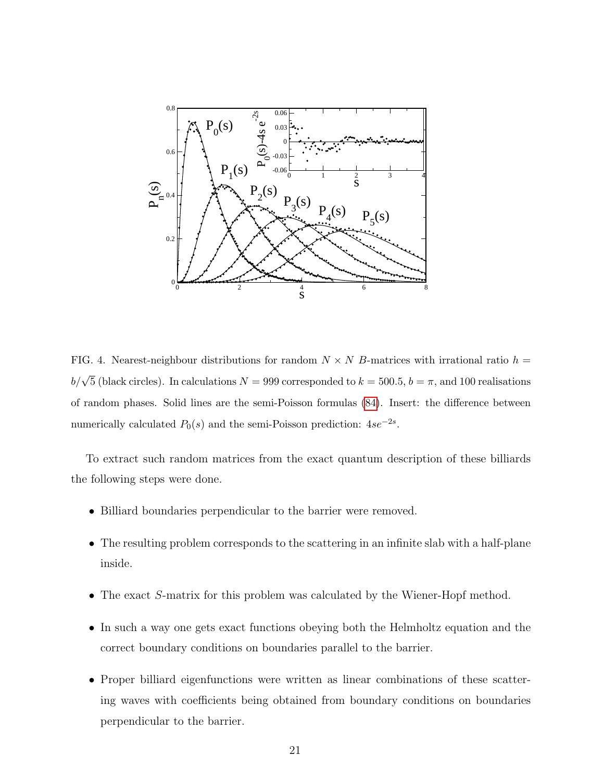

<span id="page-20-0"></span>FIG. 4. Nearest-neighbour distributions for random  $N \times N$  B-matrices with irrational ratio  $h =$  $b/\sqrt{5}$  (black circles). In calculations  $N = 999$  corresponded to  $k = 500.5$ ,  $b = \pi$ , and 100 realisations of random phases. Solid lines are the semi-Poisson formulas [\(84\)](#page-19-1). Insert: the difference between numerically calculated  $P_0(s)$  and the semi-Poisson prediction:  $4se^{-2s}$ .

To extract such random matrices from the exact quantum description of these billiards the following steps were done.

- Billiard boundaries perpendicular to the barrier were removed.
- The resulting problem corresponds to the scattering in an infinite slab with a half-plane inside.
- The exact S-matrix for this problem was calculated by the Wiener-Hopf method.
- In such a way one gets exact functions obeying both the Helmholtz equation and the correct boundary conditions on boundaries parallel to the barrier.
- Proper billiard eigenfunctions were written as linear combinations of these scattering waves with coefficients being obtained from boundary conditions on boundaries perpendicular to the barrier.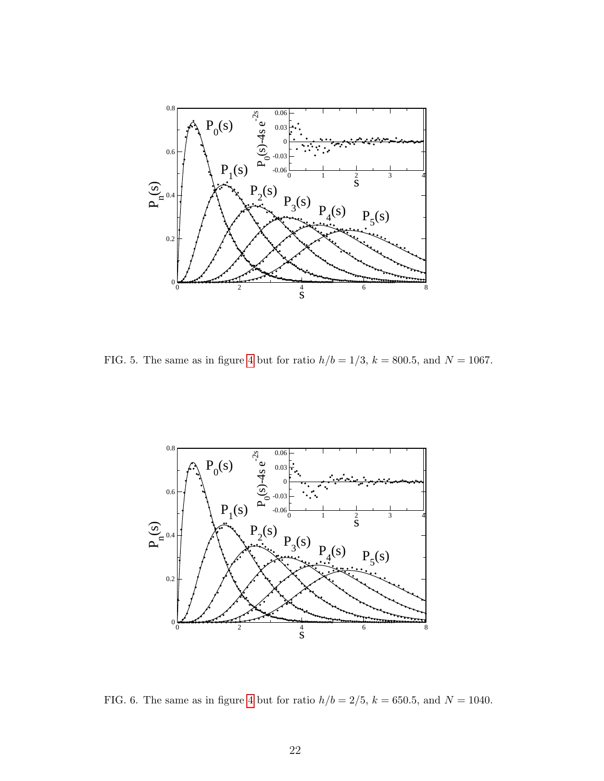

<span id="page-21-0"></span>FIG. 5. The same as in figure [4](#page-20-0) but for ratio  $h/b = 1/3$ ,  $k = 800.5$ , and  $N = 1067$ .



<span id="page-21-1"></span>FIG. 6. The same as in figure [4](#page-20-0) but for ratio  $h/b = 2/5$ ,  $k = 650.5$ , and  $N = 1040$ .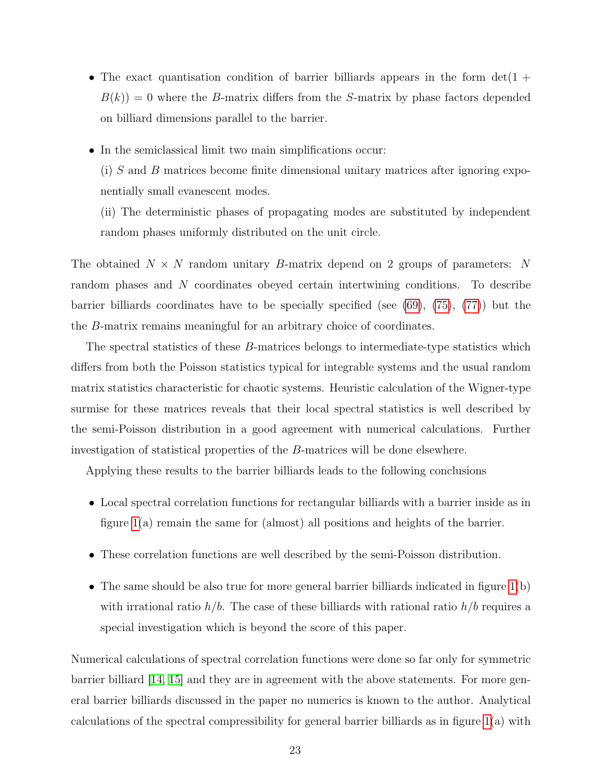- The exact quantisation condition of barrier billiards appears in the form  $det(1 +$  $B(k) = 0$  where the B-matrix differs from the S-matrix by phase factors depended on billiard dimensions parallel to the barrier.
- In the semiclassical limit two main simplifications occur:

(i) S and B matrices become finite dimensional unitary matrices after ignoring exponentially small evanescent modes.

(ii) The deterministic phases of propagating modes are substituted by independent random phases uniformly distributed on the unit circle.

The obtained  $N \times N$  random unitary B-matrix depend on 2 groups of parameters: N random phases and N coordinates obeyed certain intertwining conditions. To describe barrier billiards coordinates have to be specially specified (see [\(69\)](#page-14-1), [\(75\)](#page-15-4), [\(77\)](#page-16-1)) but the the B-matrix remains meaningful for an arbitrary choice of coordinates.

The spectral statistics of these B-matrices belongs to intermediate-type statistics which differs from both the Poisson statistics typical for integrable systems and the usual random matrix statistics characteristic for chaotic systems. Heuristic calculation of the Wigner-type surmise for these matrices reveals that their local spectral statistics is well described by the semi-Poisson distribution in a good agreement with numerical calculations. Further investigation of statistical properties of the B-matrices will be done elsewhere.

Applying these results to the barrier billiards leads to the following conclusions

- Local spectral correlation functions for rectangular billiards with a barrier inside as in figure [1\(](#page-3-0)a) remain the same for (almost) all positions and heights of the barrier.
- These correlation functions are well described by the semi-Poisson distribution.
- The same should be also true for more general barrier billiards indicated in figure [1\(](#page-3-0)b) with irrational ratio  $h/b$ . The case of these billiards with rational ratio  $h/b$  requires a special investigation which is beyond the score of this paper.

Numerical calculations of spectral correlation functions were done so far only for symmetric barrier billiard [\[14,](#page-26-4) [15\]](#page-26-1) and they are in agreement with the above statements. For more general barrier billiards discussed in the paper no numerics is known to the author. Analytical calculations of the spectral compressibility for general barrier billiards as in figure [1\(](#page-3-0)a) with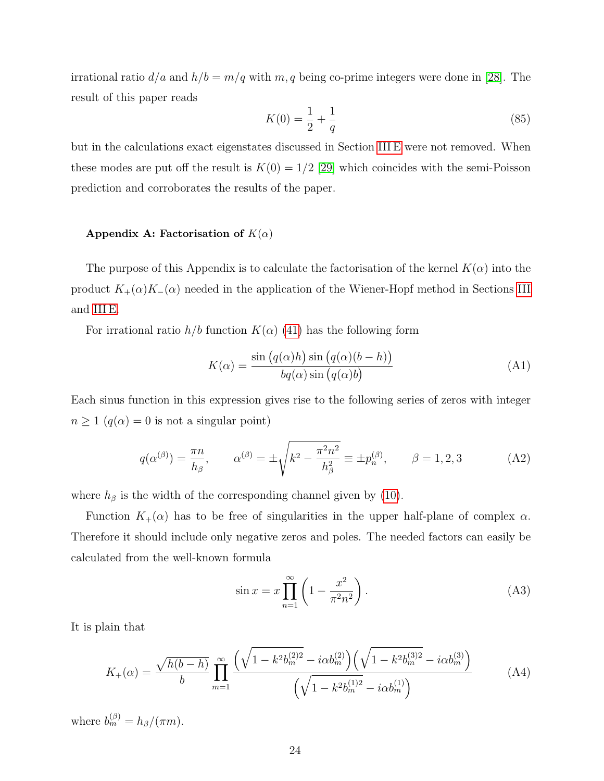irrational ratio  $d/a$  and  $h/b = m/q$  with  $m, q$  being co-prime integers were done in [\[28\]](#page-27-5). The result of this paper reads

$$
K(0) = \frac{1}{2} + \frac{1}{q}
$$
\n(85)

but in the calculations exact eigenstates discussed in Section [III E](#page-12-2) were not removed. When these modes are put off the result is  $K(0) = 1/2$  [\[29\]](#page-27-6) which coincides with the semi-Poisson prediction and corroborates the results of the paper.

#### <span id="page-23-0"></span>Appendix A: Factorisation of  $K(\alpha)$

The purpose of this Appendix is to calculate the factorisation of the kernel  $K(\alpha)$  into the product  $K_{+}(\alpha)K_{-}(\alpha)$  needed in the application of the Wiener-Hopf method in Sections [III](#page-6-0) and [III E.](#page-12-2)

For irrational ratio  $h/b$  function  $K(\alpha)$  [\(41\)](#page-10-1) has the following form

$$
K(\alpha) = \frac{\sin (q(\alpha)h) \sin (q(\alpha)(b - h))}{bq(\alpha) \sin (q(\alpha)b)}
$$
(A1)

Each sinus function in this expression gives rise to the following series of zeros with integer  $n\geq 1$   $\big(q(\alpha)=0\text{ is not a singular point}\big)$ 

$$
q(\alpha^{(\beta)}) = \frac{\pi n}{h_{\beta}}, \qquad \alpha^{(\beta)} = \pm \sqrt{k^2 - \frac{\pi^2 n^2}{h_{\beta}^2}} \equiv \pm p_n^{(\beta)}, \qquad \beta = 1, 2, 3 \tag{A2}
$$

where  $h_\beta$  is the width of the corresponding channel given by [\(10\)](#page-4-3).

Function  $K_{+}(\alpha)$  has to be free of singularities in the upper half-plane of complex  $\alpha$ . Therefore it should include only negative zeros and poles. The needed factors can easily be calculated from the well-known formula

<span id="page-23-2"></span>
$$
\sin x = x \prod_{n=1}^{\infty} \left( 1 - \frac{x^2}{\pi^2 n^2} \right). \tag{A3}
$$

It is plain that

<span id="page-23-1"></span>
$$
K_{+}(\alpha) = \frac{\sqrt{h(b-h)}}{b} \prod_{m=1}^{\infty} \frac{\left(\sqrt{1 - k^2 b_m^{(2)}} - i\alpha b_m^{(2)}\right)\left(\sqrt{1 - k^2 b_m^{(3)}} - i\alpha b_m^{(3)}\right)}{\left(\sqrt{1 - k^2 b_m^{(1)}} - i\alpha b_m^{(1)}\right)}
$$
(A4)

where  $b_m^{(\beta)} = h_\beta/(\pi m)$ .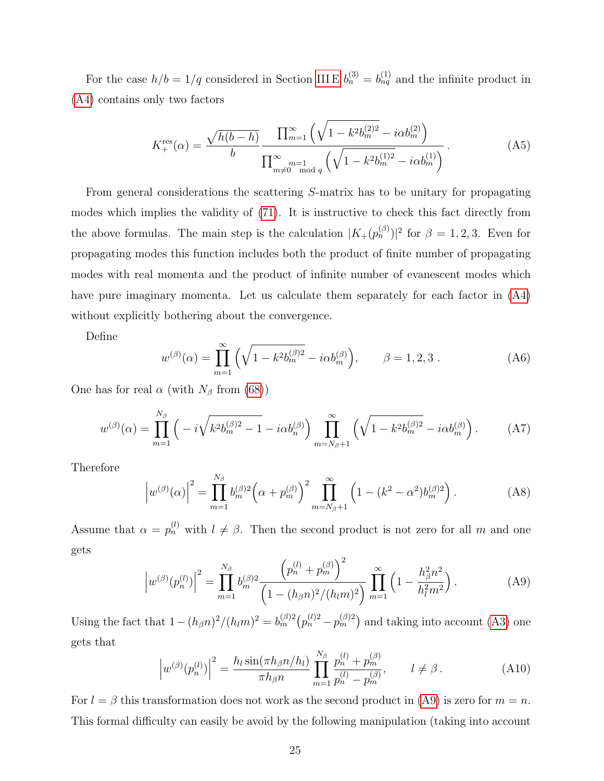For the case  $h/b = 1/q$  considered in Section [III E](#page-12-2)  $b_n^{(3)} = b_{nq}^{(1)}$  and the infinite product in [\(A4\)](#page-23-1) contains only two factors

<span id="page-24-0"></span>
$$
K_{+}^{\text{res}}(\alpha) = \frac{\sqrt{h(b-h)}}{b} \frac{\prod_{m=1}^{\infty} \left( \sqrt{1 - k^2 b_m^{(2)2}} - i \alpha b_m^{(2)} \right)}{\prod_{m \neq 0}^{\infty} m_{\text{mod } q} \left( \sqrt{1 - k^2 b_m^{(1)2}} - i \alpha b_m^{(1)} \right)}.
$$
(A5)

From general considerations the scattering S-matrix has to be unitary for propagating modes which implies the validity of [\(71\)](#page-15-1). It is instructive to check this fact directly from the above formulas. The main step is the calculation  $|K_{+}(p_n^{(\beta)})|^2$  for  $\beta = 1, 2, 3$ . Even for propagating modes this function includes both the product of finite number of propagating modes with real momenta and the product of infinite number of evanescent modes which have pure imaginary momenta. Let us calculate them separately for each factor in [\(A4\)](#page-23-1) without explicitly bothering about the convergence.

Define

$$
w^{(\beta)}(\alpha) = \prod_{m=1}^{\infty} \left( \sqrt{1 - k^2 b_m^{(\beta)2}} - i \alpha b_m^{(\beta)} \right), \qquad \beta = 1, 2, 3. \tag{A6}
$$

One has for real  $\alpha$  (with  $N_\beta$  from [\(68\)](#page-14-2))

$$
w^{(\beta)}(\alpha) = \prod_{m=1}^{N_{\beta}} \left( -i\sqrt{k^2 b_m^{(\beta)2} - 1} - i\alpha b_n^{(\beta)} \right) \prod_{m=N_{\beta}+1}^{\infty} \left( \sqrt{1 - k^2 b_m^{(\beta)2}} - i\alpha b_m^{(\beta)} \right). \tag{A7}
$$

Therefore

$$
\left| w^{(\beta)}(\alpha) \right|^2 = \prod_{m=1}^{N_\beta} b_m^{(\beta)2} \left( \alpha + p_m^{(\beta)} \right)^2 \prod_{m=N_\beta+1}^{\infty} \left( 1 - (k^2 - \alpha^2) b_m^{(\beta)2} \right). \tag{A8}
$$

Assume that  $\alpha = p_n^{(l)}$  with  $l \neq \beta$ . Then the second product is not zero for all m and one gets

<span id="page-24-1"></span>
$$
\left| w^{(\beta)}(p_n^{(l)}) \right|^2 = \prod_{m=1}^{N_\beta} b_m^{(\beta)2} \frac{\left( p_n^{(l)} + p_m^{(\beta)} \right)^2}{\left( 1 - (h_\beta n)^2 / (h_l m)^2 \right)} \prod_{m=1}^{\infty} \left( 1 - \frac{h_\beta^2 n^2}{h_l^2 m^2} \right).
$$
 (A9)

Using the fact that  $1-(h_\beta n)^2/(h_lm)^2 = b_m^{(\beta)2}(p_n^{(l)2}-p_m^{(\beta)2})$  and taking into account [\(A3\)](#page-23-2) one gets that

$$
\left| w^{(\beta)}(p_n^{(l)}) \right|^2 = \frac{h_l \sin(\pi h_\beta n / h_l)}{\pi h_\beta n} \prod_{m=1}^{N_\beta} \frac{p_n^{(l)} + p_m^{(\beta)}}{p_n^{(l)} - p_m^{(\beta)}}, \qquad l \neq \beta. \tag{A10}
$$

For  $l = \beta$  this transformation does not work as the second product in [\(A9\)](#page-24-1) is zero for  $m = n$ . This formal difficulty can easily be avoid by the following manipulation (taking into account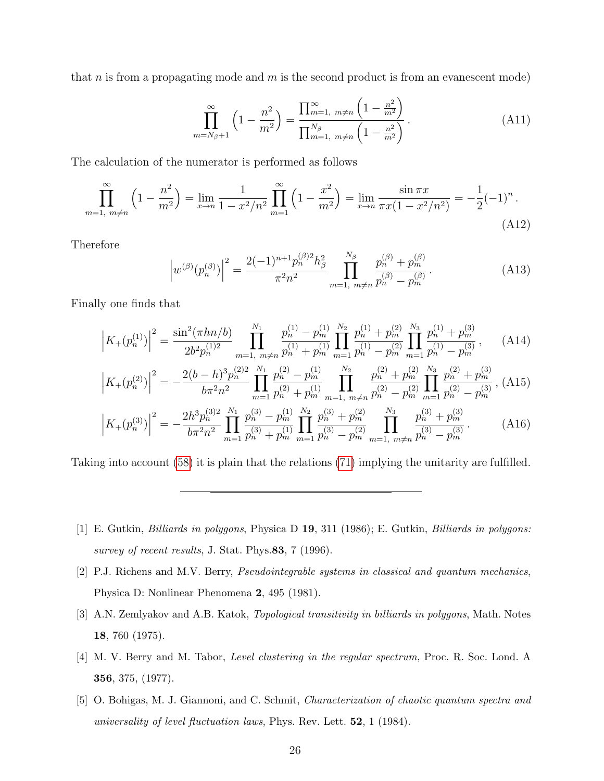that  $n$  is from a propagating mode and  $m$  is the second product is from an evanescent mode)

$$
\prod_{m=N_{\beta}+1}^{\infty} \left(1 - \frac{n^2}{m^2}\right) = \frac{\prod_{m=1, m \neq n}^{\infty} \left(1 - \frac{n^2}{m^2}\right)}{\prod_{m=1, m \neq n}^{N_{\beta}} \left(1 - \frac{n^2}{m^2}\right)}.
$$
\n(A11)

The calculation of the numerator is performed as follows

$$
\prod_{m=1, m \neq n}^{\infty} \left( 1 - \frac{n^2}{m^2} \right) = \lim_{x \to n} \frac{1}{1 - x^2/n^2} \prod_{m=1}^{\infty} \left( 1 - \frac{x^2}{m^2} \right) = \lim_{x \to n} \frac{\sin \pi x}{\pi x (1 - x^2/n^2)} = -\frac{1}{2} (-1)^n.
$$
\n(A12)

Therefore

$$
\left| w^{(\beta)}(p_n^{(\beta)}) \right|^2 = \frac{2(-1)^{n+1} p_n^{(\beta)2} h_\beta^2}{\pi^2 n^2} \prod_{m=1, m \neq n}^{N_\beta} \frac{p_n^{(\beta)} + p_m^{(\beta)}}{p_n^{(\beta)} - p_m^{(\beta)}}.
$$
\n(A13)

Finally one finds that

$$
\left| K_{+}(p_{n}^{(1)}) \right|^{2} = \frac{\sin^{2}(\pi h n/b)}{2b^{2}p_{n}^{(1)2}} \prod_{m=1, m \neq n}^{N_{1}} \frac{p_{n}^{(1)} - p_{m}^{(1)}}{p_{n}^{(1)} + p_{m}^{(1)}} \prod_{m=1}^{N_{2}} \frac{p_{n}^{(1)} + p_{m}^{(2)}}{p_{n}^{(1)} - p_{m}^{(2)}} \prod_{m=1}^{N_{3}} \frac{p_{n}^{(1)} + p_{m}^{(3)}}{p_{n}^{(1)} - p_{m}^{(2)}} , \qquad (A14)
$$
\n
$$
\left| K_{+}(p_{n}^{(2)}) \right|^{2} = -\frac{2(b-h)^{3}p_{n}^{(2)2}}{b\pi^{2}n^{2}} \prod_{m=1}^{N_{1}} \frac{p_{n}^{(2)} - p_{m}^{(1)}}{p_{n}^{(2)} + p_{m}^{(1)}} \prod_{m=1, m \neq n}^{N_{2}} \frac{p_{n}^{(2)} + p_{m}^{(2)}}{p_{n}^{(2)} - p_{m}^{(2)}} \prod_{m=1}^{N_{3}} \frac{p_{n}^{(2)} + p_{m}^{(3)}}{p_{n}^{(2)} - p_{m}^{(3)}} , \qquad (A15)
$$

$$
\left| K_{+}(p_{n}^{(3)}) \right|^{2} = -\frac{2h^{3}p_{n}^{(3)2}}{b\pi^{2}n^{2}} \prod_{m=1}^{N_{1}} \frac{p_{n}^{(3)} - p_{m}^{(1)}}{p_{n}^{(3)} + p_{m}^{(1)}} \prod_{m=1}^{N_{2}} \frac{p_{n}^{(3)} + p_{m}^{(2)}}{p_{n}^{(3)} - p_{m}^{(2)}} \prod_{m=1, m \neq n}^{N_{3}} \frac{p_{n}^{(3)} + p_{m}^{(3)}}{p_{n}^{(3)} - p_{m}^{(3)}}.
$$
 (A16)

Taking into account [\(58\)](#page-12-1) it is plain that the relations [\(71\)](#page-15-1) implying the unitarity are fulfilled.

- <span id="page-25-0"></span>[1] E. Gutkin, Billiards in polygons, Physica D 19, 311 (1986); E. Gutkin, Billiards in polygons: survey of recent results, J. Stat. Phys. 83, 7 (1996).
- <span id="page-25-1"></span>[2] P.J. Richens and M.V. Berry, Pseudointegrable systems in classical and quantum mechanics, Physica D: Nonlinear Phenomena 2, 495 (1981).
- <span id="page-25-2"></span>[3] A.N. Zemlyakov and A.B. Katok, Topological transitivity in billiards in polygons, Math. Notes 18, 760 (1975).
- <span id="page-25-3"></span>[4] M. V. Berry and M. Tabor, Level clustering in the regular spectrum, Proc. R. Soc. Lond. A 356, 375, (1977).
- <span id="page-25-4"></span>[5] O. Bohigas, M. J. Giannoni, and C. Schmit, Characterization of chaotic quantum spectra and universality of level fluctuation laws, Phys. Rev. Lett.  $52$ , 1 (1984).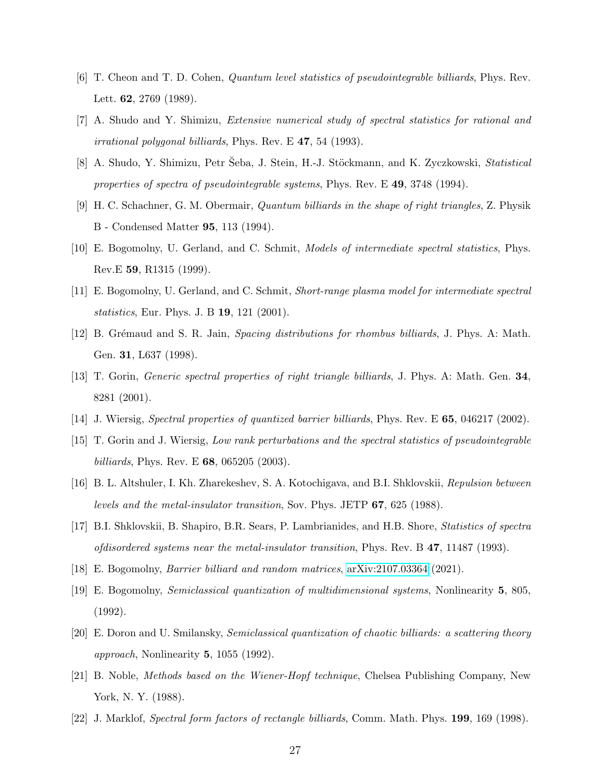- <span id="page-26-0"></span>[6] T. Cheon and T. D. Cohen, Quantum level statistics of pseudointegrable billiards, Phys. Rev. Lett. 62, 2769 (1989).
- [7] A. Shudo and Y. Shimizu, Extensive numerical study of spectral statistics for rational and irrational polygonal billiards, Phys. Rev. E 47, 54 (1993).
- [8] A. Shudo, Y. Shimizu, Petr Seba, J. Stein, H.-J. Stöckmann, and K. Zyczkowski, Statistical properties of spectra of pseudointegrable systems, Phys. Rev. E 49, 3748 (1994).
- [9] H. C. Schachner, G. M. Obermair, Quantum billiards in the shape of right triangles, Z. Physik B - Condensed Matter 95, 113 (1994).
- [10] E. Bogomolny, U. Gerland, and C. Schmit, Models of intermediate spectral statistics, Phys. Rev.E 59, R1315 (1999).
- <span id="page-26-8"></span>[11] E. Bogomolny, U. Gerland, and C. Schmit, Short-range plasma model for intermediate spectral statistics, Eur. Phys. J. B 19, 121 (2001).
- [12] B. Grémaud and S. R. Jain, Spacing distributions for rhombus billiards, J. Phys. A: Math. Gen. 31, L637 (1998).
- [13] T. Gorin, Generic spectral properties of right triangle billiards, J. Phys. A: Math. Gen. 34, 8281 (2001).
- <span id="page-26-4"></span><span id="page-26-1"></span>[14] J. Wiersig, Spectral properties of quantized barrier billiards, Phys. Rev. E **65**, 046217 (2002).
- [15] T. Gorin and J. Wiersig, Low rank perturbations and the spectral statistics of pseudointegrable *billiards*, Phys. Rev. E **68**, 065205 (2003).
- <span id="page-26-2"></span>[16] B. L. Altshuler, I. Kh. Zharekeshev, S. A. Kotochigava, and B.I. Shklovskii, Repulsion between levels and the metal-insulator transition, Sov. Phys. JETP 67, 625 (1988).
- <span id="page-26-3"></span>[17] B.I. Shklovskii, B. Shapiro, B.R. Sears, P. Lambrianides, and H.B. Shore, Statistics of spectra ofdisordered systems near the metal-insulator transition, Phys. Rev. B 47, 11487 (1993).
- <span id="page-26-6"></span><span id="page-26-5"></span>[18] E. Bogomolny, Barrier billiard and random matrices, [arXiv:2107.03364](http://arxiv.org/abs/2107.03364) (2021).
- [19] E. Bogomolny, Semiclassical quantization of multidimensional systems, Nonlinearity 5, 805, (1992).
- <span id="page-26-7"></span>[20] E. Doron and U. Smilansky, Semiclassical quantization of chaotic billiards: a scattering theory approach, Nonlinearity 5, 1055 (1992).
- <span id="page-26-9"></span>[21] B. Noble, Methods based on the Wiener-Hopf technique, Chelsea Publishing Company, New York, N. Y. (1988).
- <span id="page-26-10"></span>[22] J. Marklof, Spectral form factors of rectangle billiards, Comm. Math. Phys. 199, 169 (1998).